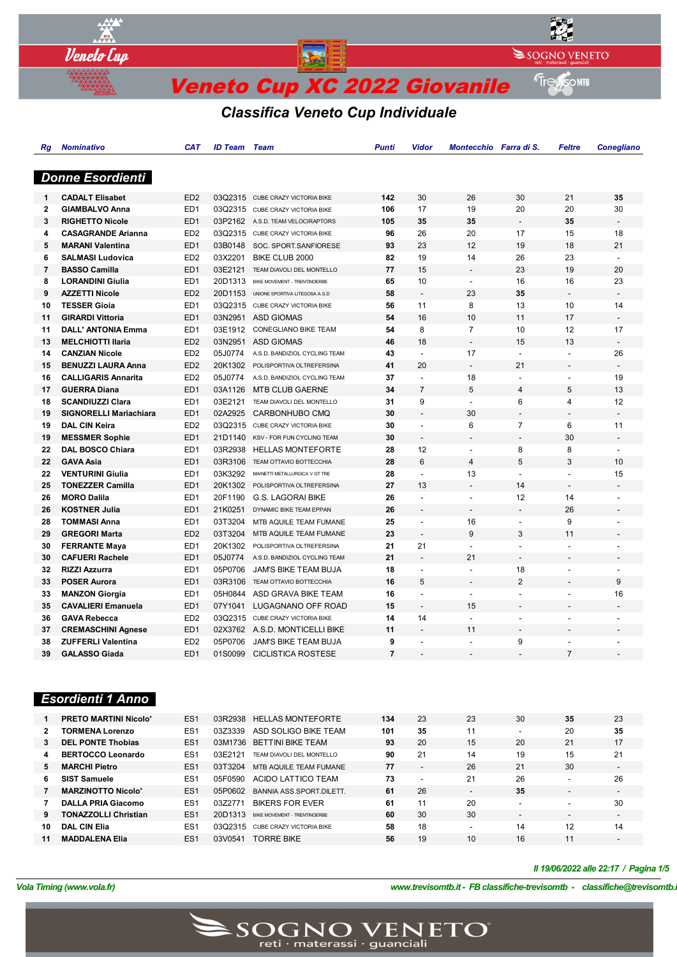

# *Classifica Veneto Cup Individuale*

| Rg           | <b>Nominativo</b>             | <b>CAT</b>                         | <b>ID Team</b>     | <b>Team</b>                       | <b>Punti</b>   | Vidor                    | Montecchio Farra di S.   |                          | <b>Feltre</b>            | <b>Conegliano</b>              |
|--------------|-------------------------------|------------------------------------|--------------------|-----------------------------------|----------------|--------------------------|--------------------------|--------------------------|--------------------------|--------------------------------|
|              |                               |                                    |                    |                                   |                |                          |                          |                          |                          |                                |
|              | <b>Donne Esordienti</b>       |                                    |                    |                                   |                |                          |                          |                          |                          |                                |
|              | <b>CADALT Elisabet</b>        |                                    |                    |                                   |                |                          | 26                       | 30                       | 21                       | 35                             |
| 1            |                               | ED <sub>2</sub>                    |                    | 03Q2315 CUBE CRAZY VICTORIA BIKE  | 142            | 30                       | 19                       |                          |                          |                                |
| $\mathbf{2}$ | <b>GIAMBALVO Anna</b>         | ED <sub>1</sub><br>ED <sub>1</sub> | 03Q2315            | CUBE CRAZY VICTORIA BIKE          | 106<br>105     | 17<br>35                 | 35                       | 20<br>$\overline{a}$     | 20<br>35                 | 30<br>$\overline{\phantom{a}}$ |
| 3            | <b>RIGHETTO Nicole</b>        |                                    |                    | 03P2162 A.S.D. TEAM VELOCIRAPTORS |                |                          | 20                       |                          |                          |                                |
| 4            | <b>CASAGRANDE Arianna</b>     | ED <sub>2</sub>                    | 03Q2315            | CUBE CRAZY VICTORIA BIKE          | 96             | 26                       | 12                       | 17                       | 15<br>18                 | 18                             |
| 5            | <b>MARANI Valentina</b>       | ED <sub>1</sub>                    | 03B0148<br>03X2201 | SOC. SPORT.SANFIORESE             | 93<br>82       | 23<br>19                 |                          | 19<br>26                 | 23                       | 21<br>$\sim$                   |
| 6            | <b>SALMASI Ludovica</b>       | ED <sub>2</sub><br>ED <sub>1</sub> |                    | BIKE CLUB 2000                    |                | 15                       | 14                       | 23                       | 19                       |                                |
| 7            | <b>BASSO Camilla</b>          |                                    | 03E2121            | TEAM DIAVOLI DEL MONTELLO         | 77             |                          | $\overline{a}$           |                          |                          | 20                             |
| 8            | <b>LORANDINI Giulia</b>       | ED <sub>1</sub>                    | 20D1313            | BIKE MOVEMENT - TRENTINOERBE      | 65             | 10                       | $\mathbf{r}$             | 16                       | 16                       | 23                             |
| 9            | <b>AZZETTI Nicole</b>         | ED <sub>2</sub>                    | 20D1153            | UNIONE SPORTIVA LITEGOSA A.S.D    | 58             | $\overline{a}$           | 23                       | 35                       |                          | $\blacksquare$                 |
| 10           | <b>TESSER Gioia</b>           | ED <sub>1</sub>                    |                    | 03Q2315 CUBE CRAZY VICTORIA BIKE  | 56             | 11                       | 8                        | 13                       | 10                       | 14                             |
| 11           | <b>GIRARDI Vittoria</b>       | ED <sub>1</sub>                    | 03N2951            | <b>ASD GIOMAS</b>                 | 54             | 16                       | 10                       | 11                       | 17                       | $\blacksquare$                 |
| 11           | <b>DALL' ANTONIA Emma</b>     | ED <sub>1</sub>                    | 03E1912            | <b>CONEGLIANO BIKE TEAM</b>       | 54             | 8                        | $\overline{7}$           | 10                       | 12                       | 17                             |
| 13           | <b>MELCHIOTTI Ilaria</b>      | ED <sub>2</sub>                    | 03N2951            | <b>ASD GIOMAS</b>                 | 46             | 18                       | $\overline{\phantom{a}}$ | 15                       | 13                       | $\overline{a}$                 |
| 14           | <b>CANZIAN Nicole</b>         | ED <sub>2</sub>                    | 05J0774            | A.S.D. BANDIZIOL CYCLING TEAM     | 43             | $\overline{\phantom{a}}$ | 17                       | $\overline{\phantom{a}}$ | $\overline{a}$           | 26                             |
| 15           | <b>BENUZZI LAURA Anna</b>     | ED <sub>2</sub>                    | 20K1302            | POLISPORTIVA OLTREFERSINA         | 41             | 20                       | $\blacksquare$           | 21                       | $\overline{\phantom{a}}$ | $\overline{\phantom{a}}$       |
| 16           | <b>CALLIGARIS Annarita</b>    | ED <sub>2</sub>                    | 05J0774            | A.S.D. BANDIZIOL CYCLING TEAM     | 37             | $\blacksquare$           | 18                       | $\blacksquare$           | $\overline{a}$           | 19                             |
| 17           | <b>GUERRA Diana</b>           | ED <sub>1</sub>                    | 03A1126            | <b>MTB CLUB GAERNE</b>            | 34             | $\overline{7}$           | 5                        | $\overline{4}$           | 5                        | 13                             |
| 18           | <b>SCANDIUZZI Clara</b>       | ED <sub>1</sub>                    | 03E2121            | TEAM DIAVOLI DEL MONTELLO         | 31             | 9                        | $\mathbf{r}$             | 6                        | 4                        | 12                             |
| 19           | <b>SIGNORELLI Mariachiara</b> | ED <sub>1</sub>                    | 02A2925            | CARBONHUBO CMO                    | 30             | $\overline{a}$           | 30                       |                          |                          |                                |
| 19           | <b>DAL CIN Keira</b>          | ED <sub>2</sub>                    | 03Q2315            | CUBE CRAZY VICTORIA BIKE          | 30             | $\overline{a}$           | 6                        | $\overline{7}$           | 6                        | 11                             |
| 19           | <b>MESSMER Sophie</b>         | ED <sub>1</sub>                    | 21D1140            | <b>KSV - FOR FUN CYCLING TEAM</b> | 30             |                          |                          | ÷,                       | 30                       | $\overline{a}$                 |
| 22           | <b>DAL BOSCO Chiara</b>       | ED <sub>1</sub>                    | 03R2938            | <b>HELLAS MONTEFORTE</b>          | 28             | 12                       | $\overline{a}$           | 8                        | 8                        | $\blacksquare$                 |
| 22           | <b>GAVA Asia</b>              | ED <sub>1</sub>                    | 03R3106            | TEAM OTTAVIO BOTTECCHIA           | 28             | $6\overline{6}$          | $\overline{4}$           | 5                        | 3                        | 10                             |
| 22           | <b>VENTURINI Giulia</b>       | ED <sub>1</sub>                    | 03K3292            | MAINETTI METALLURGICA V GT TRE    | 28             | $\overline{a}$           | 13                       | $\overline{\phantom{a}}$ | $\overline{\phantom{a}}$ | 15                             |
| 25           | <b>TONEZZER Camilla</b>       | ED <sub>1</sub>                    | 20K1302            | POLISPORTIVA OLTREFERSINA         | 27             | 13                       | $\overline{\phantom{a}}$ | 14                       |                          |                                |
| 26           | <b>MORO Dalila</b>            | ED <sub>1</sub>                    | 20F1190            | <b>G.S. LAGORAI BIKE</b>          | 26             | $\overline{\phantom{a}}$ | $\overline{\phantom{a}}$ | 12                       | 14                       | $\overline{a}$                 |
| 26           | <b>KOSTNER Julia</b>          | ED <sub>1</sub>                    | 21K0251            | DYNAMIC BIKE TEAM EPPAN           | 26             |                          | $\overline{\phantom{a}}$ | $\overline{\phantom{a}}$ | 26                       | $\overline{a}$                 |
| 28           | <b>TOMMASI Anna</b>           | ED <sub>1</sub>                    | 03T3204            | MTB AQUILE TEAM FUMANE            | 25             | $\overline{a}$           | 16                       | $\overline{a}$           | 9                        | $\overline{a}$                 |
| 29           | <b>GREGORI Marta</b>          | ED <sub>2</sub>                    | 03T3204            | MTB AQUILE TEAM FUMANE            | 23             | $\overline{a}$           | 9                        | 3                        | 11                       | $\overline{a}$                 |
| 30           | <b>FERRANTE Maya</b>          | ED <sub>1</sub>                    | 20K1302            | POLISPORTIVA OLTREFERSINA         | 21             | 21                       | $\blacksquare$           | $\overline{\phantom{a}}$ | $\blacksquare$           |                                |
| 30           | <b>CAFUERI Rachele</b>        | ED <sub>1</sub>                    | 05J0774            | A.S.D. BANDIZIOL CYCLING TEAM     | 21             | $\overline{a}$           | 21                       | $\overline{a}$           | $\overline{a}$           | $\overline{a}$                 |
| 32           | <b>RIZZI Azzurra</b>          | ED <sub>1</sub>                    | 05P0706            | <b>JAM'S BIKE TEAM BUJA</b>       | 18             | $\overline{\phantom{a}}$ | $\blacksquare$           | 18                       | $\overline{\phantom{a}}$ | $\overline{\phantom{a}}$       |
| 33           | <b>POSER Aurora</b>           | ED <sub>1</sub>                    | 03R3106            | TEAM OTTAVIO BOTTECCHIA           | 16             | 5                        | $\overline{a}$           | $\overline{2}$           | $\overline{a}$           | 9                              |
| 33           | <b>MANZON Giorgia</b>         | ED <sub>1</sub>                    | 05H0844            | ASD GRAVA BIKE TEAM               | 16             | $\overline{a}$           | $\overline{a}$           | $\overline{a}$           | $\overline{a}$           | 16                             |
| 35           | <b>CAVALIERI Emanuela</b>     | ED <sub>1</sub>                    | 07Y1041            | LUGAGNANO OFF ROAD                | 15             | $\frac{1}{2}$            | 15                       | $\overline{a}$           | $\overline{\phantom{m}}$ |                                |
| 36           | <b>GAVA Rebecca</b>           | ED <sub>2</sub>                    |                    | 03Q2315 CUBE CRAZY VICTORIA BIKE  | 14             | 14                       | $\overline{a}$           | L.                       | $\overline{a}$           |                                |
| 37           | <b>CREMASCHINI Agnese</b>     | ED <sub>1</sub>                    | 02X3762            | A.S.D. MONTICELLI BIKE            | 11             | $\overline{a}$           | 11                       | ÷,                       | $\overline{a}$           |                                |
| 38           | <b>ZUFFERLI Valentina</b>     | ED <sub>2</sub>                    | 05P0706            | JAM'S BIKE TEAM BUJA              | 9              | $\blacksquare$           | $\sim$                   | 9                        | $\blacksquare$           |                                |
| 39           | <b>GALASSO Giada</b>          | ED <sub>1</sub>                    | 01S0099            | <b>CICLISTICA ROSTESE</b>         | $\overline{7}$ |                          |                          |                          | $\overline{7}$           |                                |
|              |                               |                                    |                    |                                   |                |                          |                          |                          |                          |                                |
|              |                               |                                    |                    |                                   |                |                          |                          |                          |                          |                                |

# *Esordienti 1 Anno*

|              | <b>PRETO MARTINI Nicolo'</b> | ES <sub>1</sub> | 03R2938 | <b>HELLAS MONTEFORTE</b>     | 134 | 23 | 23                       | 30 | 35                       | 23                       |
|--------------|------------------------------|-----------------|---------|------------------------------|-----|----|--------------------------|----|--------------------------|--------------------------|
| $\mathbf{2}$ | <b>TORMENA Lorenzo</b>       | ES <sub>1</sub> | 03Z3339 | ASD SOLIGO BIKE TEAM         | 101 | 35 | 11                       | ۰. | 20                       | 35                       |
| 3            | <b>DEL PONTE Thobias</b>     | ES <sub>1</sub> | 03M1736 | <b>BETTINI BIKE TEAM</b>     | 93  | 20 | 15                       | 20 | 21                       | 17                       |
| 4            | <b>BERTOCCO Leonardo</b>     | ES <sub>1</sub> | 03F2121 | TEAM DIAVOLI DEL MONTELLO    | 90  | 21 | 14                       | 19 | 15                       | 21                       |
| 5.           | <b>MARCHI Pietro</b>         | ES <sub>1</sub> | 03T3204 | MTB AQUILE TEAM FUMANE       | 77  | -  | 26                       | 21 | 30                       | $\overline{\phantom{a}}$ |
| 6.           | <b>SIST Samuele</b>          | ES <sub>1</sub> | 05F0590 | ACIDO LATTICO TEAM           | 73  |    | 21                       | 26 |                          | 26                       |
|              | <b>MARZINOTTO Nicolo'</b>    | ES <sub>1</sub> | 05P0602 | BANNIA ASS SPORT DILETT.     | 61  | 26 | $\overline{\phantom{0}}$ | 35 | -                        | $\overline{\phantom{a}}$ |
|              | <b>DALLA PRIA Giacomo</b>    | ES <sub>1</sub> | 03Z2771 | <b>BIKERS FOR EVER</b>       | 61  |    | 20                       | -  |                          | 30                       |
| 9.           | <b>TONAZZOLLI Christian</b>  | ES <sub>1</sub> | 20D1313 | BIKE MOVEMENT - TRENTINOERBE | 60  | 30 | 30                       | -  | $\overline{\phantom{a}}$ | $\overline{\phantom{0}}$ |
| 10           | <b>DAL CIN Elia</b>          | ES <sub>1</sub> | 03Q2315 | CUBE CRAZY VICTORIA BIKE     | 58  | 18 | -                        | 14 | 12                       | 14                       |
| 11           | <b>MADDALENA Elia</b>        | ES <sub>1</sub> | 03V0541 | <b>TORRE BIKE</b>            | 56  | 19 | 10                       | 16 | 11                       | $\overline{\phantom{0}}$ |

*Il 19/06/2022 alle 22:17 / Pagina 1/5*

*VolaSoftControlPdf*

*Vola Timing (www.vola.fr) www.trevisomtb.it - FB classifiche-trevisomtb - classifiche@trevisomtb.it*

 $\text{SOGNON}$   $\text{VEN}$   $\text{ETO}^*$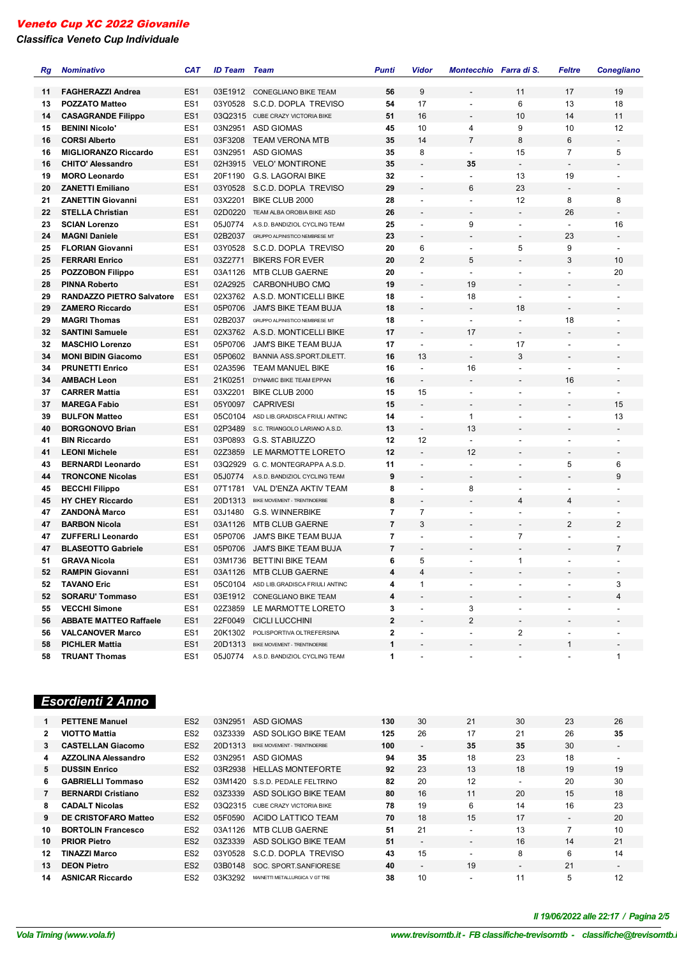*Classifica Veneto Cup Individuale*

| Rg | <b>Nominativo</b>                | <b>CAT</b>      | <b>ID Team</b> | <b>Team</b>                            | <b>Punti</b>   | Vidor                        | Montecchio Farra di S.   |                          | Feltre                   | <b>Conegliano</b>        |
|----|----------------------------------|-----------------|----------------|----------------------------------------|----------------|------------------------------|--------------------------|--------------------------|--------------------------|--------------------------|
|    |                                  |                 |                |                                        |                |                              |                          |                          |                          |                          |
| 11 | <b>FAGHERAZZI Andrea</b>         | ES <sub>1</sub> |                | 03E1912 CONEGLIANO BIKE TEAM           | 56             | 9                            |                          | 11                       | 17                       | 19                       |
| 13 | <b>POZZATO Matteo</b>            | ES <sub>1</sub> | 03Y0528        | S.C.D. DOPLA TREVISO                   | 54             | 17                           |                          | 6                        | 13                       | 18                       |
| 14 | <b>CASAGRANDE Filippo</b>        | ES <sub>1</sub> |                | 03Q2315 CUBE CRAZY VICTORIA BIKE       | 51             | 16                           | $\overline{\phantom{a}}$ | 10                       | 14                       | 11                       |
| 15 | <b>BENINI Nicolo'</b>            | ES <sub>1</sub> | 03N2951        | ASD GIOMAS                             | 45             | 10                           | 4                        | 9                        | 10                       | 12                       |
| 16 | <b>CORSI Alberto</b>             | ES <sub>1</sub> | 03F3208        | <b>TEAM VERONA MTB</b>                 | 35             | 14                           | $\overline{7}$           | 8                        | 6                        | $\overline{\phantom{a}}$ |
| 16 | <b>MIGLIORANZO Riccardo</b>      | ES <sub>1</sub> | 03N2951        | <b>ASD GIOMAS</b>                      | 35             | 8                            | $\overline{\phantom{a}}$ | 15                       | $\overline{7}$           | 5                        |
| 16 | <b>CHITO' Alessandro</b>         | ES <sub>1</sub> | 02H3915        | <b>VELO' MONTIRONE</b>                 | 35             | $\overline{\phantom{a}}$     | 35                       | $\overline{\phantom{a}}$ | $\overline{\phantom{a}}$ |                          |
| 19 | <b>MORO Leonardo</b>             | ES <sub>1</sub> | 20F1190        | <b>G.S. LAGORAI BIKE</b>               | 32             | $\overline{\phantom{a}}$     | $\overline{\phantom{a}}$ | 13                       | 19                       |                          |
| 20 | <b>ZANETTI Emiliano</b>          | ES <sub>1</sub> | 03Y0528        | S.C.D. DOPLA TREVISO                   | 29             |                              | 6                        | 23                       | $\overline{\phantom{a}}$ | $\overline{\phantom{a}}$ |
| 21 | <b>ZANETTIN Giovanni</b>         | ES <sub>1</sub> | 03X2201        | BIKE CLUB 2000                         | 28             | L,                           | $\blacksquare$           | 12                       | 8                        | 8                        |
| 22 | <b>STELLA Christian</b>          | ES <sub>1</sub> | 02D0220        | TEAM ALBA OROBIA BIKE ASD              | 26             |                              |                          | $\overline{\phantom{a}}$ | 26                       | $\overline{\phantom{a}}$ |
| 23 | <b>SCIAN Lorenzo</b>             | ES <sub>1</sub> | 05J0774        | A.S.D. BANDIZIOL CYCLING TEAM          | 25             | $\overline{\phantom{a}}$     | 9                        | $\blacksquare$           | $\blacksquare$           | 16                       |
| 24 | <b>MAGNI Daniele</b>             | ES <sub>1</sub> | 02B2037        | GRUPPO ALPINISTICO NEMBRESE MT         | 23             |                              |                          |                          | 23                       | $\overline{\phantom{a}}$ |
| 25 | <b>FLORIAN Giovanni</b>          | ES <sub>1</sub> | 03Y0528        | S.C.D. DOPLA TREVISO                   | 20             | 6                            | $\blacksquare$           | 5                        | 9                        | $\blacksquare$           |
| 25 | <b>FERRARI Enrico</b>            | ES <sub>1</sub> | 03Z2771        | <b>BIKERS FOR EVER</b>                 | 20             | $\overline{2}$               | 5                        | $\overline{a}$           | 3                        | 10                       |
| 25 | <b>POZZOBON Filippo</b>          | ES <sub>1</sub> | 03A1126        | <b>MTB CLUB GAERNE</b>                 | 20             | $\overline{\phantom{a}}$     | $\overline{\phantom{a}}$ | $\blacksquare$           | $\overline{\phantom{a}}$ | 20                       |
| 28 | <b>PINNA Roberto</b>             | ES <sub>1</sub> | 02A2925        | CARBONHUBO CMQ                         | 19             |                              | 19                       |                          |                          | $\overline{\phantom{a}}$ |
| 29 | <b>RANDAZZO PIETRO Salvatore</b> | ES <sub>1</sub> | 02X3762        | A.S.D. MONTICELLI BIKE                 | 18             | $\overline{\phantom{a}}$     | 18                       | $\overline{\phantom{a}}$ | $\overline{\phantom{a}}$ |                          |
| 29 | <b>ZAMERO Riccardo</b>           | ES <sub>1</sub> | 05P0706        | <b>JAM'S BIKE TEAM BUJA</b>            | 18             |                              | $\blacksquare$           | 18                       |                          |                          |
| 29 | <b>MAGRI Thomas</b>              | ES <sub>1</sub> | 02B2037        | GRUPPO ALPINISTICO NEMBRESE MT         | 18             | $\overline{a}$               | $\overline{a}$           | $\blacksquare$           | 18                       |                          |
| 32 | <b>SANTINI Samuele</b>           | ES <sub>1</sub> |                | 02X3762 A.S.D. MONTICELLI BIKE         | 17             |                              | 17                       | $\overline{a}$           | $\overline{\phantom{a}}$ |                          |
| 32 | <b>MASCHIO Lorenzo</b>           | ES <sub>1</sub> | 05P0706        | JAM'S BIKE TEAM BUJA                   | 17             | $\blacksquare$               | $\overline{a}$           | 17                       | $\overline{\phantom{a}}$ |                          |
| 34 | <b>MONI BIDIN Giacomo</b>        | ES <sub>1</sub> | 05P0602        | BANNIA ASS.SPORT.DILETT.               | 16             | 13                           | $\overline{\phantom{a}}$ | 3                        |                          |                          |
| 34 | <b>PRUNETTI Enrico</b>           | ES <sub>1</sub> | 02A3596        | <b>TEAM MANUEL BIKE</b>                | 16             | $\overline{a}$               | 16                       | $\overline{a}$           | $\overline{\phantom{a}}$ | $\overline{\phantom{a}}$ |
| 34 | <b>AMBACH Leon</b>               | ES <sub>1</sub> | 21K0251        | DYNAMIC BIKE TEAM EPPAN                | 16             | $\qquad \qquad \blacksquare$ |                          | $\overline{a}$           | 16                       | $\overline{\phantom{a}}$ |
| 37 | <b>CARRER Mattia</b>             | ES <sub>1</sub> | 03X2201        | BIKE CLUB 2000                         | 15             | 15                           | $\blacksquare$           | $\overline{a}$           | $\overline{\phantom{a}}$ |                          |
| 37 | <b>MAREGA Fabio</b>              | ES <sub>1</sub> | 05Y0097        | <b>CAPRIVESI</b>                       | 15             | $\overline{a}$               | $\overline{\phantom{a}}$ |                          |                          | 15                       |
| 39 | <b>BULFON Matteo</b>             | ES <sub>1</sub> | 05C0104        | ASD LIB.GRADISCA FRIULI ANTINC         | 14             | $\overline{a}$               | $\mathbf{1}$             | $\overline{a}$           | $\overline{\phantom{a}}$ | 13                       |
| 40 | <b>BORGONOVO Brian</b>           | ES <sub>1</sub> | 02P3489        | S.C. TRIANGOLO LARIANO A.S.D.          | 13             | $\overline{\phantom{a}}$     | 13                       |                          |                          |                          |
| 41 | <b>BIN Riccardo</b>              | ES <sub>1</sub> | 03P0893        | G.S. STABIUZZO                         | 12             | 12                           | $\overline{\phantom{a}}$ | ÷,                       | $\overline{\phantom{a}}$ |                          |
| 41 | <b>LEONI Michele</b>             | ES <sub>1</sub> | 02Z3859        | LE MARMOTTE LORETO                     | 12             | $\overline{\phantom{a}}$     | 12                       |                          |                          |                          |
| 43 | <b>BERNARDI Leonardo</b>         | ES <sub>1</sub> | 03Q2929        | G. C. MONTEGRAPPA A.S.D.               | 11             |                              |                          |                          | 5                        | 6                        |
| 44 | <b>TRONCONE Nicolas</b>          | ES <sub>1</sub> | 05J0774        | A.S.D. BANDIZIOL CYCLING TEAM          | 9              |                              | $\overline{\phantom{a}}$ | $\overline{a}$           | $\overline{\phantom{a}}$ | 9                        |
| 45 | <b>BECCHI Filippo</b>            | ES <sub>1</sub> | 07T1781        | VAL D'ENZA AKTIV TEAM                  | 8              | $\blacksquare$               | 8                        | $\overline{\phantom{a}}$ | $\overline{\phantom{a}}$ |                          |
| 45 | <b>HY CHEY Riccardo</b>          | ES <sub>1</sub> | 20D1313        | BIKE MOVEMENT - TRENTINOERBE           | 8              | $\blacksquare$               |                          | $\overline{4}$           | $\overline{4}$           |                          |
| 47 | <b>ZANDONÀ Marco</b>             | ES <sub>1</sub> | 03J1480        | <b>G.S. WINNERBIKE</b>                 | 7              | $\overline{7}$               |                          |                          |                          |                          |
| 47 | <b>BARBON Nicola</b>             | ES <sub>1</sub> | 03A1126        | <b>MTB CLUB GAERNE</b>                 | $\overline{7}$ | 3                            | $\overline{\phantom{a}}$ | $\overline{\phantom{a}}$ | $\overline{2}$           | $\overline{2}$           |
| 47 | <b>ZUFFERLI Leonardo</b>         | ES <sub>1</sub> | 05P0706        | JAM'S BIKE TEAM BUJA                   | 7              | $\overline{a}$               | $\blacksquare$           | $\overline{7}$           | $\overline{\phantom{a}}$ |                          |
| 47 | <b>BLASEOTTO Gabriele</b>        | ES <sub>1</sub> | 05P0706        | <b>JAM'S BIKE TEAM BUJA</b>            | $\overline{7}$ |                              |                          |                          |                          | 7                        |
| 51 | <b>GRAVA Nicola</b>              | ES <sub>1</sub> |                | 03M1736 BETTINI BIKE TEAM              | 6              | 5                            |                          | 1                        |                          |                          |
| 52 | <b>RAMPIN Giovanni</b>           | ES <sub>1</sub> |                | 03A1126 MTB CLUB GAERNE                | 4              | 4                            |                          |                          |                          |                          |
| 52 | <b>TAVANO Eric</b>               | ES <sub>1</sub> |                | 05C0104 ASD LIB.GRADISCA FRIULI ANTINC | 4              | 1                            |                          |                          |                          | 3                        |
| 52 | <b>SORARU' Tommaso</b>           | ES <sub>1</sub> |                | 03E1912 CONEGLIANO BIKE TEAM           | 4              |                              |                          |                          |                          | 4                        |
| 55 | <b>VECCHI Simone</b>             | ES1             |                | 02Z3859 LE MARMOTTE LORETO             | 3              | $\overline{\phantom{a}}$     | 3                        |                          |                          |                          |
| 56 | <b>ABBATE MATTEO Raffaele</b>    | ES <sub>1</sub> |                | 22F0049 CICLI LUCCHINI                 | 2              |                              | 2                        | $\overline{\phantom{a}}$ | $\overline{\phantom{a}}$ |                          |
| 56 | <b>VALCANOVER Marco</b>          | ES1             |                | 20K1302 POLISPORTIVA OLTREFERSINA      | 2              | $\overline{\phantom{a}}$     | ۰                        | 2                        | $\overline{\phantom{a}}$ |                          |
| 58 | <b>PICHLER Mattia</b>            | ES <sub>1</sub> |                | 20D1313 BIKE MOVEMENT - TRENTINOERBE   | 1              |                              |                          | ٠                        | $\mathbf{1}$             |                          |
| 58 | <b>TRUANT Thomas</b>             | ES1             |                | 05J0774 A.S.D. BANDIZIOL CYCLING TEAM  | 1              |                              |                          |                          |                          | $\mathbf{1}$             |

# *Esordienti 2 Anno*

|              | <b>PETTENE Manuel</b>      | ES <sub>2</sub> | 03N2951 | ASD GIOMAS                       | 130 | 30                       | 21                       | 30                       | 23                       | 26                       |
|--------------|----------------------------|-----------------|---------|----------------------------------|-----|--------------------------|--------------------------|--------------------------|--------------------------|--------------------------|
| $\mathbf{2}$ | <b>VIOTTO Mattia</b>       | ES <sub>2</sub> | 03Z3339 | ASD SOLIGO BIKE TEAM             | 125 | 26                       | 17                       | 21                       | 26                       | 35                       |
| з.           | <b>CASTELLAN Giacomo</b>   | ES <sub>2</sub> | 20D1313 | BIKE MOVEMENT - TRENTINOERBE     | 100 | $\overline{\phantom{a}}$ | 35                       | 35                       | 30                       | $\overline{\phantom{a}}$ |
|              | <b>AZZOLINA Alessandro</b> | ES <sub>2</sub> | 03N2951 | ASD GIOMAS                       | 94  | 35                       | 18                       | 23                       | 18                       | -                        |
| 5.           | <b>DUSSIN Enrico</b>       | ES <sub>2</sub> | 03R2938 | HELLAS MONTEFORTE                | 92  | 23                       | 13                       | 18                       | 19                       | 19                       |
| 6.           | <b>GABRIELLI Tommaso</b>   | ES <sub>2</sub> |         | 03M1420 S.S.D. PEDALE FELTRINO   | 82  | 20                       | 12                       | $\overline{\phantom{0}}$ | 20                       | 30                       |
|              | <b>BERNARDI Cristiano</b>  | ES <sub>2</sub> | 0373339 | ASD SOLIGO BIKE TEAM             | 80  | 16                       | 11                       | 20                       | 15                       | 18                       |
| 8            | <b>CADALT Nicolas</b>      | ES <sub>2</sub> |         | 03Q2315 CUBE CRAZY VICTORIA BIKE | 78  | 19                       | 6                        | 14                       | 16                       | 23                       |
| 9.           | DE CRISTOFARO Matteo       | ES <sub>2</sub> | 05F0590 | ACIDO LATTICO TEAM               | 70  | 18                       | 15                       | 17                       | $\overline{\phantom{a}}$ | 20                       |
| 10.          | <b>BORTOLIN Francesco</b>  | ES <sub>2</sub> | 03A1126 | <b>MTB CLUB GAERNE</b>           | 51  | 21                       | $\overline{\phantom{a}}$ | 13                       |                          | 10                       |
| 10           | <b>PRIOR Pietro</b>        | ES <sub>2</sub> | 03Z3339 | ASD SOLIGO BIKE TEAM             | 51  | $\overline{\phantom{a}}$ | $\overline{\phantom{a}}$ | 16                       | 14                       | 21                       |
| 12           | <b>TINAZZI Marco</b>       | ES <sub>2</sub> | 03Y0528 | S.C.D. DOPLA TREVISO             | 43  | 15                       | $\overline{\phantom{a}}$ | 8                        | 6                        | 14                       |
| 13.          | <b>DEON Pietro</b>         | ES <sub>2</sub> | 03B0148 | SOC. SPORT. SANFIORESE           | 40  | $\overline{\phantom{a}}$ | 19                       | $\overline{\phantom{0}}$ | 21                       | $\overline{\phantom{0}}$ |
| 14           | <b>ASNICAR Riccardo</b>    | ES <sub>2</sub> | 03K3292 | MAINETTI METALLURGICA V GT TRE   | 38  | 10                       | $\overline{\phantom{a}}$ | 11                       | 5                        | 12                       |

# *VolaSoftControlPdf Il 19/06/2022 alle 22:17 / Pagina 2/5*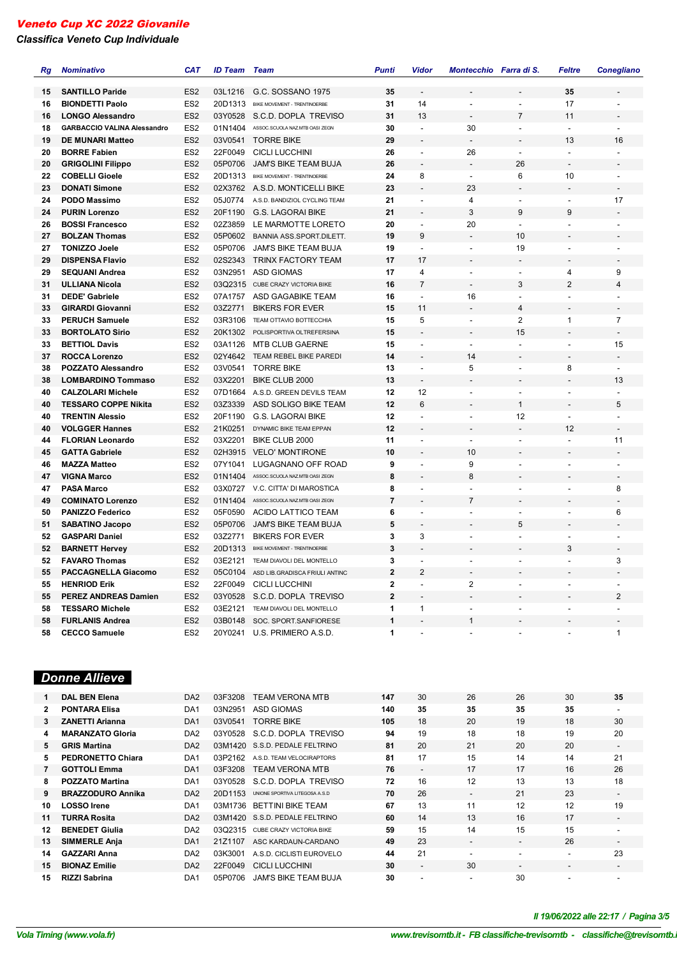# *Classifica Veneto Cup Individuale*

| Rg | <b>Nominativo</b>                  | <b>CAT</b>      | <b>ID Team</b> | Team                             | <b>Punti</b>   | <b>Vidor</b>             | Montecchio Farra di S.   |                          | <b>Feltre</b>            | <b>Conegliano</b>        |
|----|------------------------------------|-----------------|----------------|----------------------------------|----------------|--------------------------|--------------------------|--------------------------|--------------------------|--------------------------|
| 15 | <b>SANTILLO Paride</b>             | ES <sub>2</sub> | 03L1216        | G.C. SOSSANO 1975                | 35             |                          |                          |                          | 35                       |                          |
| 16 | <b>BIONDETTI Paolo</b>             | ES <sub>2</sub> | 20D1313        | BIKE MOVEMENT - TRENTINOERBE     | 31             | 14                       | $\overline{\phantom{a}}$ | ÷,                       | 17                       |                          |
| 16 | <b>LONGO Alessandro</b>            | ES <sub>2</sub> | 03Y0528        | S.C.D. DOPLA TREVISO             | 31             | 13                       |                          | $\overline{7}$           | 11                       |                          |
| 18 | <b>GARBACCIO VALINA Alessandro</b> | ES <sub>2</sub> | 01N1404        | ASSOC.SCUOLA NAZ.MTB OASI ZEGN   | 30             | $\overline{a}$           | 30                       | $\overline{a}$           | $\overline{a}$           |                          |
| 19 | <b>DE MUNARI Matteo</b>            | ES <sub>2</sub> | 03V0541        | <b>TORRE BIKE</b>                | 29             |                          |                          |                          | 13                       | 16                       |
| 20 | <b>BORRE Fabien</b>                | ES <sub>2</sub> | 22F0049        | <b>CICLI LUCCHINI</b>            | 26             | $\omega$                 | 26                       | $\overline{\phantom{a}}$ | $\overline{a}$           |                          |
| 20 | <b>GRIGOLINI Filippo</b>           | ES <sub>2</sub> | 05P0706        | JAM'S BIKE TEAM BUJA             | 26             |                          |                          | 26                       | $\overline{\phantom{a}}$ | $\overline{\phantom{a}}$ |
| 22 | <b>COBELLI Gioele</b>              | ES <sub>2</sub> | 20D1313        | BIKE MOVEMENT - TRENTINOERBE     | 24             | 8                        | $\overline{\phantom{a}}$ | 6                        | 10                       | $\blacksquare$           |
| 23 | <b>DONATI Simone</b>               | ES <sub>2</sub> |                | 02X3762 A.S.D. MONTICELLI BIKE   | 23             |                          | 23                       | $\overline{\phantom{a}}$ |                          | $\overline{\phantom{a}}$ |
| 24 | PODO Massimo                       | ES <sub>2</sub> | 05J0774        | A.S.D. BANDIZIOL CYCLING TEAM    | 21             | $\overline{a}$           | 4                        | $\overline{\phantom{a}}$ | $\overline{\phantom{a}}$ | 17                       |
| 24 | <b>PURIN Lorenzo</b>               | ES <sub>2</sub> | 20F1190        | <b>G.S. LAGORAI BIKE</b>         | 21             | ٠                        | 3                        | 9                        | 9                        |                          |
| 26 | <b>BOSSI Francesco</b>             | ES <sub>2</sub> | 02Z3859        | LE MARMOTTE LORETO               | 20             | $\overline{\phantom{a}}$ | 20                       | $\blacksquare$           | $\overline{\phantom{a}}$ |                          |
| 27 | <b>BOLZAN Thomas</b>               | ES <sub>2</sub> | 05P0602        | BANNIA ASS.SPORT.DILETT.         | 19             | 9                        | $\overline{\phantom{a}}$ | 10                       | $\overline{\phantom{a}}$ |                          |
| 27 | <b>TONIZZO Joele</b>               | ES <sub>2</sub> | 05P0706        | JAM'S BIKE TEAM BUJA             | 19             | $\overline{a}$           | $\ddot{\phantom{a}}$     | 19                       | $\overline{a}$           |                          |
| 29 | <b>DISPENSA Flavio</b>             | ES <sub>2</sub> | 02S2343        | TRINX FACTORY TEAM               | 17             | 17                       |                          |                          | $\overline{a}$           |                          |
| 29 | <b>SEQUANI Andrea</b>              | ES <sub>2</sub> | 03N2951        | <b>ASD GIOMAS</b>                | 17             | 4                        | $\sim$                   | $\sim$                   | 4                        | 9                        |
| 31 | <b>ULLIANA Nicola</b>              | ES <sub>2</sub> |                | 03Q2315 CUBE CRAZY VICTORIA BIKE | 16             | $\overline{7}$           | $\overline{a}$           | 3                        | $\overline{2}$           | $\overline{\mathbf{4}}$  |
| 31 | <b>DEDE' Gabriele</b>              | ES <sub>2</sub> |                | 07A1757 ASD GAGABIKE TEAM        | 16             | $\blacksquare$           | 16                       | $\blacksquare$           | $\overline{\phantom{a}}$ | $\overline{\phantom{a}}$ |
| 33 | <b>GIRARDI Giovanni</b>            | ES <sub>2</sub> | 03Z2771        | <b>BIKERS FOR EVER</b>           | 15             | 11                       |                          | $\overline{4}$           |                          |                          |
| 33 | <b>PERUCH Samuele</b>              | ES <sub>2</sub> | 03R3106        | TEAM OTTAVIO BOTTECCHIA          | 15             | 5                        | $\blacksquare$           | $\overline{2}$           | $\mathbf{1}$             | $\overline{7}$           |
| 33 | <b>BORTOLATO Sirio</b>             | ES <sub>2</sub> | 20K1302        | POLISPORTIVA OLTREFERSINA        | 15             | $\overline{a}$           |                          | 15                       |                          | $\blacksquare$           |
| 33 | <b>BETTIOL Davis</b>               | ES <sub>2</sub> | 03A1126        | <b>MTB CLUB GAERNE</b>           | 15             | $\overline{\phantom{a}}$ | $\overline{\phantom{a}}$ | $\overline{\phantom{a}}$ | $\overline{\phantom{a}}$ | 15                       |
| 37 | <b>ROCCA Lorenzo</b>               | ES <sub>2</sub> | 02Y4642        | TEAM REBEL BIKE PAREDI           | 14             |                          | 14                       |                          | $\overline{a}$           | $\overline{a}$           |
| 38 | <b>POZZATO Alessandro</b>          | ES <sub>2</sub> | 03V0541        | <b>TORRE BIKE</b>                | 13             | $\blacksquare$           | 5                        | $\overline{a}$           | 8                        | $\blacksquare$           |
| 38 | <b>LOMBARDINO Tommaso</b>          | ES <sub>2</sub> | 03X2201        | <b>BIKE CLUB 2000</b>            | 13             |                          |                          |                          |                          | 13                       |
| 40 | <b>CALZOLARI Michele</b>           | ES <sub>2</sub> | 07D1664        | A.S.D. GREEN DEVILS TEAM         | 12             | 12                       | $\overline{\phantom{a}}$ | $\overline{\phantom{a}}$ | $\overline{a}$           | $\ddot{\phantom{a}}$     |
| 40 | <b>TESSARO COPPE Nikita</b>        | ES <sub>2</sub> | 03Z3339        | ASD SOLIGO BIKE TEAM             | 12             | 6                        |                          | $\mathbf{1}$             |                          | 5                        |
| 40 | <b>TRENTIN Alessio</b>             | ES <sub>2</sub> | 20F1190        | <b>G.S. LAGORAI BIKE</b>         | 12             | $\overline{a}$           | $\blacksquare$           | 12                       | $\overline{a}$           | $\blacksquare$           |
| 40 | <b>VOLGGER Hannes</b>              | ES <sub>2</sub> | 21K0251        | DYNAMIC BIKE TEAM EPPAN          | 12             |                          |                          | $\overline{a}$           | 12                       | $\overline{a}$           |
| 44 | <b>FLORIAN Leonardo</b>            | ES <sub>2</sub> | 03X2201        | BIKE CLUB 2000                   | 11             | ٠                        | $\blacksquare$           | $\blacksquare$           | $\blacksquare$           | 11                       |
| 45 | <b>GATTA Gabriele</b>              | ES <sub>2</sub> | 02H3915        | <b>VELO' MONTIRONE</b>           | 10             |                          | 10                       | $\overline{\phantom{a}}$ |                          |                          |
| 46 | <b>MAZZA Matteo</b>                | ES <sub>2</sub> | 07Y1041        | LUGAGNANO OFF ROAD               | 9              |                          | 9                        | $\overline{a}$           | $\overline{a}$           |                          |
| 47 | <b>VIGNA Marco</b>                 | ES <sub>2</sub> | 01N1404        | ASSOC.SCUOLA NAZ.MTB OASI ZEGN   | 8              | ÷,                       | 8                        | $\overline{\phantom{a}}$ | $\overline{\phantom{a}}$ | $\overline{a}$           |
| 47 | <b>PASA Marco</b>                  | ES <sub>2</sub> | 03X0727        | V.C. CITTA' DI MAROSTICA         | 8              |                          | $\overline{a}$           | $\blacksquare$           | $\overline{\phantom{a}}$ | 8                        |
| 49 | <b>COMINATO Lorenzo</b>            | ES <sub>2</sub> | 01N1404        | ASSOC.SCUOLA NAZ.MTB OASI ZEGN   | $\overline{7}$ | $\overline{a}$           | $\overline{7}$           | $\overline{\phantom{a}}$ |                          |                          |
| 50 | <b>PANIZZO Federico</b>            | ES <sub>2</sub> | 05F0590        | ACIDO LATTICO TEAM               | 6              | $\overline{a}$           |                          | $\overline{\phantom{a}}$ | ÷,                       | 6                        |
| 51 | <b>SABATINO Jacopo</b>             | ES <sub>2</sub> | 05P0706        | <b>JAM'S BIKE TEAM BUJA</b>      | 5              | $\overline{a}$           |                          | 5                        |                          |                          |
| 52 | <b>GASPARI Daniel</b>              | ES <sub>2</sub> | 03Z2771        | <b>BIKERS FOR EVER</b>           | 3              | 3                        | $\blacksquare$           | $\overline{a}$           | $\overline{a}$           |                          |
| 52 | <b>BARNETT Hervey</b>              | ES <sub>2</sub> | 20D1313        | BIKE MOVEMENT - TRENTINOERBE     | 3              | $\overline{a}$           |                          | $\overline{\phantom{a}}$ | 3                        | $\blacksquare$           |
| 52 | <b>FAVARO Thomas</b>               | ES <sub>2</sub> | 03E2121        | TEAM DIAVOLI DEL MONTELLO        | 3              | $\overline{a}$           | $\sim$                   | $\blacksquare$           | $\overline{\phantom{a}}$ | 3                        |
| 55 | <b>PACCAGNELLA Giacomo</b>         | ES <sub>2</sub> | 05C0104        | ASD LIB.GRADISCA FRIULI ANTINC   | $\overline{2}$ | $\overline{2}$           |                          |                          |                          |                          |
| 55 | <b>HENRIOD Erik</b>                | ES <sub>2</sub> | 22F0049        | <b>CICLI LUCCHINI</b>            | 2              | $\overline{\phantom{a}}$ | 2                        | $\overline{\phantom{a}}$ | $\blacksquare$           |                          |
| 55 | <b>PEREZ ANDREAS Damien</b>        | ES <sub>2</sub> | 03Y0528        | S.C.D. DOPLA TREVISO             | $\overline{2}$ |                          |                          |                          |                          | $\overline{2}$           |
| 58 | <b>TESSARO Michele</b>             | ES <sub>2</sub> | 03E2121        | TEAM DIAVOLI DEL MONTELLO        | 1              | $\mathbf{1}$             | $\blacksquare$           | $\blacksquare$           |                          |                          |
| 58 | <b>FURLANIS Andrea</b>             | ES <sub>2</sub> | 03B0148        | SOC. SPORT.SANFIORESE            | 1              |                          | 1                        |                          |                          |                          |
| 58 | <b>CECCO Samuele</b>               | ES <sub>2</sub> | 20Y0241        | U.S. PRIMIERO A.S.D.             | $\mathbf{1}$   |                          |                          |                          |                          | 1                        |
|    |                                    |                 |                |                                  |                |                          |                          |                          |                          |                          |

# *Donne Allieve*

|              | <b>DAL BEN Elena</b>     | DA <sub>2</sub> | 03F3208 | TEAM VERONA MTB                | 147 | 30                       | 26                       | 26                       | 30                       | 35                       |
|--------------|--------------------------|-----------------|---------|--------------------------------|-----|--------------------------|--------------------------|--------------------------|--------------------------|--------------------------|
| $\mathbf{2}$ | <b>PONTARA Elisa</b>     | DA <sub>1</sub> | 03N2951 | ASD GIOMAS                     | 140 | 35                       | 35                       | 35                       | 35                       | $\overline{\phantom{a}}$ |
| 3            | <b>ZANETTI Arianna</b>   | DA <sub>1</sub> | 03V0541 | <b>TORRE BIKE</b>              | 105 | 18                       | 20                       | 19                       | 18                       | 30                       |
| 4            | <b>MARANZATO Gloria</b>  | DA <sub>2</sub> | 03Y0528 | S.C.D. DOPLA TREVISO           | 94  | 19                       | 18                       | 18                       | 19                       | 20                       |
| 5.           | <b>GRIS Martina</b>      | DA <sub>2</sub> | 03M1420 | S.S.D. PEDALE FELTRINO         | 81  | 20                       | 21                       | 20                       | 20                       | $\overline{\phantom{a}}$ |
| 5.           | <b>PEDRONETTO Chiara</b> | DA <sub>1</sub> | 03P2162 | A.S.D. TEAM VELOCIRAPTORS      | 81  | 17                       | 15                       | 14                       | 14                       | 21                       |
|              | <b>GOTTOLI Emma</b>      | DA <sub>1</sub> | 03F3208 | <b>TEAM VERONA MTB</b>         | 76  | $\overline{\phantom{a}}$ | 17                       | 17                       | 16                       | 26                       |
| 8            | <b>POZZATO Martina</b>   | DA <sub>1</sub> | 03Y0528 | S.C.D. DOPLA TREVISO           | 72  | 16                       | 12                       | 13                       | 13                       | 18                       |
| 9            | <b>BRAZZODURO Annika</b> | DA <sub>2</sub> | 20D1153 | UNIONE SPORTIVA LITEGOSA A.S.D | 70  | 26                       | $\overline{\phantom{0}}$ | 21                       | 23                       | $\overline{\phantom{a}}$ |
| 10.          | <b>LOSSO</b> Irene       | DA <sub>1</sub> | 03M1736 | <b>BETTINI BIKE TEAM</b>       | 67  | 13                       | 11                       | 12                       | 12                       | 19                       |
| 11           | <b>TURRA Rosita</b>      | DA <sub>2</sub> |         | 03M1420 S.S.D. PEDALE FELTRINO | 60  | 14                       | 13                       | 16                       | 17                       | $\overline{\phantom{a}}$ |
| 12           | <b>BENEDET Giulia</b>    | DA <sub>2</sub> | 03Q2315 | CUBE CRAZY VICTORIA BIKE       | 59  | 15                       | 14                       | 15                       | 15                       | $\overline{\phantom{a}}$ |
| 13           | <b>SIMMERLE Anja</b>     | DA <sub>1</sub> | 21Z1107 | ASC KARDAUN-CARDANO            | 49  | 23                       | $\overline{\phantom{0}}$ | $\overline{\phantom{0}}$ | 26                       | $\overline{\phantom{a}}$ |
| 14           | <b>GAZZARI Anna</b>      | DA <sub>2</sub> | 03K3001 | A.S.D. CICLISTI EUROVELO       | 44  | 21                       | $\overline{\phantom{a}}$ | -                        | $\overline{\phantom{a}}$ | 23                       |
| 15           | <b>BIONAZ Emilie</b>     | DA <sub>2</sub> | 22F0049 | <b>CICLI LUCCHINI</b>          | 30  | $\overline{\phantom{a}}$ | 30                       | $\overline{\phantom{a}}$ | $\overline{\phantom{a}}$ | $\overline{\phantom{a}}$ |
| 15           | <b>RIZZI Sabrina</b>     | DA <sub>1</sub> | 05P0706 | JAM'S BIKE TEAM BUJA           | 30  | ۰                        | $\overline{\phantom{a}}$ | 30                       |                          |                          |

# *VolaSoftControlPdf Il 19/06/2022 alle 22:17 / Pagina 3/5*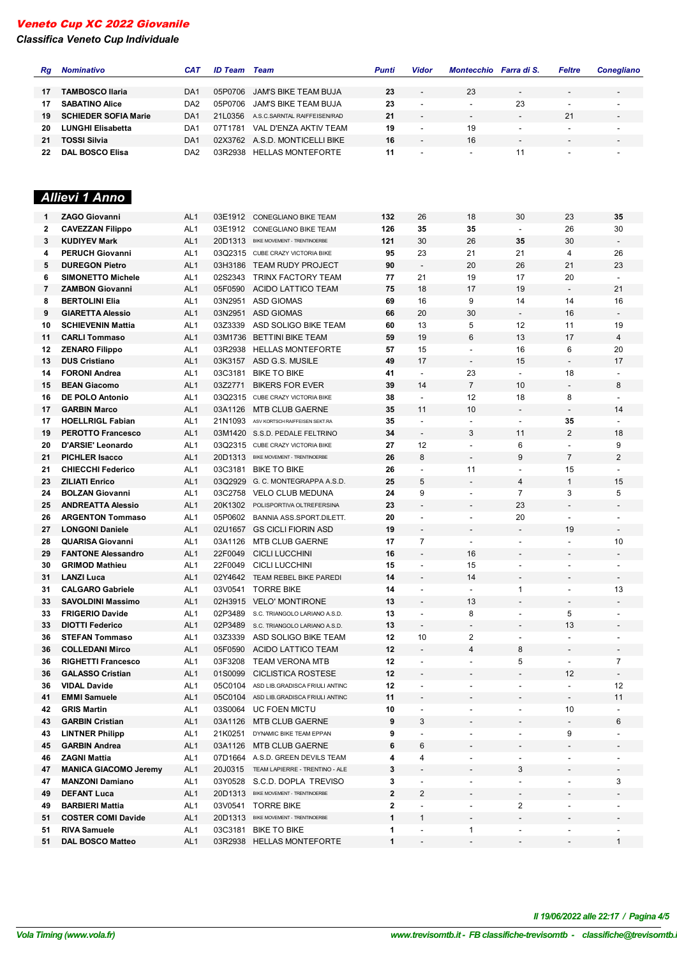# *Classifica Veneto Cup Individuale*

| Rg | <b>Nominativo</b>            | <b>CAT</b>      | <b>ID Team</b> Team |                                      | Punti       | Vidor                    | Montecchio Farra di S.   |                          | Feltre                       | <b>Conegliano</b>        |
|----|------------------------------|-----------------|---------------------|--------------------------------------|-------------|--------------------------|--------------------------|--------------------------|------------------------------|--------------------------|
|    |                              |                 |                     |                                      |             |                          |                          |                          |                              |                          |
| 17 | <b>TAMBOSCO Ilaria</b>       | DA <sub>1</sub> | 05P0706             | <b>JAM'S BIKE TEAM BUJA</b>          | 23          |                          | 23                       | $\overline{\phantom{a}}$ |                              |                          |
| 17 | <b>SABATINO Alice</b>        | DA <sub>2</sub> | 05P0706             | JAM'S BIKE TEAM BUJA                 | 23          |                          | $\overline{\phantom{a}}$ | 23                       | $\blacksquare$               |                          |
| 19 | <b>SCHIEDER SOFIA Marie</b>  | DA <sub>1</sub> | 21L0356             | A.S.C.SARNTAL RAIFFEISEN/RAD         | 21          |                          | $\overline{\phantom{a}}$ |                          | 21                           |                          |
| 20 | <b>LUNGHI Elisabetta</b>     | DA <sub>1</sub> | 07T1781             | VAL D'ENZA AKTIV TEAM                | 19          |                          | 19                       | $\overline{\phantom{a}}$ |                              |                          |
| 21 | <b>TOSSI Silvia</b>          | DA <sub>1</sub> |                     | 02X3762 A.S.D. MONTICELLI BIKE       | 16          |                          | 16                       | $\overline{\phantom{a}}$ |                              |                          |
| 22 | <b>DAL BOSCO Elisa</b>       | DA <sub>2</sub> |                     | 03R2938 HELLAS MONTEFORTE            | 11          |                          | $\blacksquare$           | 11                       |                              |                          |
|    | Allievi 1 Anno               |                 |                     |                                      |             |                          |                          |                          |                              |                          |
| 1  | <b>ZAGO Giovanni</b>         | AL <sub>1</sub> | 03E1912             | CONEGLIANO BIKE TEAM                 | 132         | 26                       | 18                       | 30                       | 23                           | 35                       |
| 2  | <b>CAVEZZAN Filippo</b>      | AL <sub>1</sub> | 03E1912             | CONEGLIANO BIKE TEAM                 | 126         | 35                       | 35                       | $\blacksquare$           | 26                           | 30                       |
| 3  | <b>KUDIYEV Mark</b>          | AL <sub>1</sub> | 20D1313             | BIKE MOVEMENT - TRENTINOERBE         | 121         | 30                       | 26                       | 35                       | 30                           | $\overline{\phantom{a}}$ |
| 4  | <b>PERUCH Giovanni</b>       | AL <sub>1</sub> |                     | 03Q2315 CUBE CRAZY VICTORIA BIKE     | 95          | 23                       | 21                       | 21                       | 4                            | 26                       |
| 5  | <b>DUREGON Pietro</b>        | AL <sub>1</sub> | 03H3186             | <b>TEAM RUDY PROJECT</b>             | 90          | $\overline{\phantom{a}}$ | 20                       | 26                       | 21                           | 23                       |
| 6  | <b>SIMONETTO Michele</b>     | AL <sub>1</sub> | 02S2343             | TRINX FACTORY TEAM                   | 77          | 21                       | 19                       | 17                       | 20                           | $\overline{\phantom{a}}$ |
| 7  | <b>ZAMBON Giovanni</b>       | AL <sub>1</sub> | 05F0590             | ACIDO LATTICO TEAM                   | 75          | 18                       | 17                       | 19                       | $\overline{\phantom{a}}$     | 21                       |
| 8  | <b>BERTOLINI Elia</b>        | AL <sub>1</sub> | 03N2951             | <b>ASD GIOMAS</b>                    | 69          | 16                       | 9                        | 14                       | 14                           | 16                       |
| 9  | <b>GIARETTA Alessio</b>      | AL <sub>1</sub> | 03N2951             | <b>ASD GIOMAS</b>                    | 66          | 20                       | 30                       |                          | 16                           | $\overline{\phantom{a}}$ |
| 10 | <b>SCHIEVENIN Mattia</b>     | AL <sub>1</sub> | 03Z3339             | ASD SOLIGO BIKE TEAM                 | 60          | 13                       | 5                        | 12                       | 11                           | 19                       |
| 11 | <b>CARLI Tommaso</b>         | AL <sub>1</sub> | 03M1736             | <b>BETTINI BIKE TEAM</b>             | 59          | 19                       | 6                        | 13                       | 17                           | 4                        |
| 12 | <b>ZENARO Filippo</b>        | AL <sub>1</sub> | 03R2938             | <b>HELLAS MONTEFORTE</b>             | 57          | 15                       | $\overline{a}$           | 16                       | 6                            | 20                       |
| 13 | <b>DUS Cristiano</b>         | AL <sub>1</sub> | 03K3157             | ASD G.S. MUSILE                      | 49          | 17                       | $\overline{\phantom{a}}$ | 15                       |                              | 17                       |
| 14 | <b>FORONI Andrea</b>         | AL <sub>1</sub> | 03C3181             | <b>BIKE TO BIKE</b>                  | 41          | $\overline{\phantom{a}}$ | 23                       | $\ddot{\phantom{a}}$     | 18                           |                          |
| 15 | <b>BEAN Giacomo</b>          | AL <sub>1</sub> | 03Z2771             | <b>BIKERS FOR EVER</b>               | 39          | 14                       | $\overline{7}$           | 10                       | $\overline{\phantom{a}}$     | 8                        |
| 16 | <b>DE POLO Antonio</b>       | AL <sub>1</sub> | 03Q2315             | CUBE CRAZY VICTORIA BIKE             | 38          | $\overline{\phantom{a}}$ | 12                       | 18                       | 8                            | $\blacksquare$           |
| 17 | <b>GARBIN Marco</b>          | AL <sub>1</sub> | 03A1126             | <b>MTB CLUB GAERNE</b>               | 35          | 11                       | 10                       |                          |                              | 14                       |
| 17 | <b>HOELLRIGL Fabian</b>      | AL <sub>1</sub> | 21N1093             | ASV KORTSCH RAIFFEISEN SEKT.RA       | 35          |                          |                          | $\overline{\phantom{a}}$ | 35                           |                          |
| 19 | <b>PEROTTO Francesco</b>     | AL <sub>1</sub> |                     | 03M1420 S.S.D. PEDALE FELTRINO       | 34          | $\overline{\phantom{a}}$ | 3                        | 11                       | $\overline{2}$               | 18                       |
| 20 | D'ARSIE' Leonardo            | AL <sub>1</sub> |                     | 03Q2315 CUBE CRAZY VICTORIA BIKE     | 27          | 12                       | $\blacksquare$           | 6                        | $\overline{\phantom{a}}$     | 9                        |
| 21 | <b>PICHLER Isacco</b>        | AL <sub>1</sub> |                     | 20D1313 BIKE MOVEMENT - TRENTINOERBE | 26          | 8                        | $\overline{a}$           | 9                        | $\overline{7}$               | $\overline{2}$           |
| 21 | <b>CHIECCHI Federico</b>     | AL <sub>1</sub> | 03C3181             | <b>BIKE TO BIKE</b>                  | 26          |                          | 11                       | $\overline{\phantom{a}}$ | 15                           | $\overline{\phantom{a}}$ |
| 23 | <b>ZILIATI Enrico</b>        | AL <sub>1</sub> | 03Q2929             | G. C. MONTEGRAPPA A.S.D.             | 25          | 5                        | $\overline{\phantom{a}}$ | $\overline{4}$           | $\mathbf{1}$                 | 15                       |
| 24 | <b>BOLZAN Giovanni</b>       | AL <sub>1</sub> | 03C2758             | <b>VELO CLUB MEDUNA</b>              | 24          | 9                        | $\blacksquare$           | $\overline{7}$           | 3                            | 5                        |
| 25 | <b>ANDREATTA Alessio</b>     | AL <sub>1</sub> | 20K1302             | POLISPORTIVA OLTREFERSINA            | 23          |                          |                          | 23                       |                              |                          |
| 26 | <b>ARGENTON Tommaso</b>      | AL <sub>1</sub> | 05P0602             | <b>BANNIA ASS.SPORT.DILETT.</b>      | 20          |                          | $\overline{\phantom{a}}$ | 20                       | $\overline{\phantom{a}}$     | $\overline{\phantom{0}}$ |
| 27 | <b>LONGONI Daniele</b>       | AL <sub>1</sub> | 02U1657             | <b>GS CICLI FIORIN ASD</b>           | 19          | $\overline{\phantom{a}}$ | $\overline{\phantom{a}}$ | $\overline{\phantom{a}}$ | 19                           | $\overline{\phantom{a}}$ |
| 28 | <b>QUARISA Giovanni</b>      | AL <sub>1</sub> | 03A1126             | <b>MTB CLUB GAERNE</b>               | 17          | 7                        | $\overline{\phantom{a}}$ | $\overline{\phantom{a}}$ | $\overline{\phantom{a}}$     | 10                       |
| 29 | <b>FANTONE Alessandro</b>    | AL <sub>1</sub> |                     | 22F0049 CICLI LUCCHINI               | 16          |                          | 16                       |                          |                              |                          |
| 30 | <b>GRIMOD Mathieu</b>        | AL <sub>1</sub> |                     | 22F0049 CICLI LUCCHINI               | 15          |                          | 15                       |                          |                              |                          |
| 31 | <b>LANZI Luca</b>            | AL <sub>1</sub> |                     | 02Y4642 TEAM REBEL BIKE PAREDI       | 14          |                          | 14                       |                          |                              | $\overline{\phantom{a}}$ |
| 31 | <b>CALGARO Gabriele</b>      | AL <sub>1</sub> | 03V0541             | <b>TORRE BIKE</b>                    | 14          | $\overline{\phantom{a}}$ | $\overline{\phantom{a}}$ | 1                        | $\overline{\phantom{a}}$     | 13                       |
| 33 | <b>SAVOLDINI Massimo</b>     | AL <sub>1</sub> |                     | 02H3915 VELO' MONTIRONE              | 13          |                          | 13                       |                          |                              |                          |
| 33 | <b>FRIGERIO Davide</b>       | AL <sub>1</sub> | 02P3489             | S.C. TRIANGOLO LARIANO A.S.D.        | 13          | $\overline{\phantom{a}}$ | 8                        | $\overline{\phantom{a}}$ | 5                            | $\overline{\phantom{a}}$ |
| 33 | <b>DIOTTI Federico</b>       | AL <sub>1</sub> | 02P3489             | S.C. TRIANGOLO LARIANO A.S.D.        | 13          |                          | $\overline{\phantom{a}}$ | $\overline{a}$           | 13                           |                          |
| 36 | <b>STEFAN Tommaso</b>        | AL <sub>1</sub> | 03Z3339             | ASD SOLIGO BIKE TEAM                 | 12          | 10                       | 2                        | $\overline{\phantom{a}}$ | $\overline{\phantom{a}}$     | $\overline{\phantom{a}}$ |
| 36 | <b>COLLEDANI Mirco</b>       | AL <sub>1</sub> | 05F0590             | ACIDO LATTICO TEAM                   | 12          |                          | 4                        | 8                        |                              |                          |
| 36 | <b>RIGHETTI Francesco</b>    | AL <sub>1</sub> | 03F3208             | TEAM VERONA MTB                      | 12          | $\overline{\phantom{a}}$ | $\overline{\phantom{a}}$ | 5                        | $\overline{\phantom{a}}$     | 7                        |
| 36 | <b>GALASSO Cristian</b>      | AL <sub>1</sub> | 01S0099             | <b>CICLISTICA ROSTESE</b>            | 12          |                          | $\overline{\phantom{a}}$ | $\overline{a}$           | 12                           | $\blacksquare$           |
| 36 | <b>VIDAL Davide</b>          | AL <sub>1</sub> | 05C0104             | ASD LIB.GRADISCA FRIULI ANTINC       | 12          | $\overline{\phantom{a}}$ | $\overline{\phantom{0}}$ | $\overline{a}$           | $\blacksquare$               | 12                       |
| 41 | <b>EMMI Samuele</b>          | AL <sub>1</sub> | 05C0104             | ASD LIB.GRADISCA FRIULI ANTINC       | 11          |                          |                          |                          | $\qquad \qquad \blacksquare$ | 11                       |
| 42 | <b>GRIS Martin</b>           | AL <sub>1</sub> |                     | 03S0064 UC FOEN MICTU                | 10          | $\overline{\phantom{a}}$ | $\overline{\phantom{0}}$ | $\overline{\phantom{a}}$ | 10                           | $\overline{\phantom{a}}$ |
| 43 | <b>GARBIN Cristian</b>       | AL <sub>1</sub> | 03A1126             | <b>MTB CLUB GAERNE</b>               | 9           | 3                        |                          |                          |                              | 6                        |
| 43 | <b>LINTNER Philipp</b>       | AL <sub>1</sub> | 21K0251             | DYNAMIC BIKE TEAM EPPAN              | 9           |                          | $\overline{\phantom{a}}$ | $\blacksquare$           | 9                            | $\overline{\phantom{a}}$ |
| 45 | <b>GARBIN Andrea</b>         | AL <sub>1</sub> | 03A1126             | <b>MTB CLUB GAERNE</b>               | 6           | 6                        |                          |                          |                              |                          |
| 46 | <b>ZAGNI Mattia</b>          | AL <sub>1</sub> |                     | 07D1664 A.S.D. GREEN DEVILS TEAM     | 4           | 4                        | $\overline{\phantom{0}}$ | $\overline{\phantom{a}}$ | $\overline{\phantom{a}}$     |                          |
| 47 | <b>MANICA GIACOMO Jeremy</b> | AL <sub>1</sub> | 20J0315             | TEAM LAPIERRE - TRENTINO - ALE       | 3           |                          |                          | 3                        |                              |                          |
| 47 | <b>MANZONI Damiano</b>       | AL <sub>1</sub> | 03Y0528             | S.C.D. DOPLA TREVISO                 | 3           |                          |                          | $\overline{\phantom{a}}$ |                              | 3                        |
| 49 | <b>DEFANT Luca</b>           | AL <sub>1</sub> | 20D1313             | BIKE MOVEMENT - TRENTINOERBE         | $\mathbf 2$ | 2                        | -                        | $\overline{\phantom{m}}$ |                              |                          |
| 49 | <b>BARBIERI Mattia</b>       | AL <sub>1</sub> | 03V0541             | <b>TORRE BIKE</b>                    | $\mathbf 2$ | $\frac{1}{2}$            | $\overline{\phantom{a}}$ | 2                        | $\blacksquare$               |                          |
| 51 | <b>COSTER COMI Davide</b>    | AL <sub>1</sub> | 20D1313             | BIKE MOVEMENT - TRENTINOERBE         | 1           | 1                        | $\overline{\phantom{a}}$ |                          |                              |                          |
| 51 | <b>RIVA Samuele</b>          | AL <sub>1</sub> | 03C3181             | <b>BIKE TO BIKE</b>                  | 1           |                          | $\mathbf{1}$             |                          |                              |                          |
| 51 | <b>DAL BOSCO Matteo</b>      | AL <sub>1</sub> |                     | 03R2938 HELLAS MONTEFORTE            | 1           | $\overline{\phantom{a}}$ | ۰                        | $\overline{\phantom{a}}$ |                              | 1                        |

*VolaSoftControlPdf Il 19/06/2022 alle 22:17 / Pagina 4/5*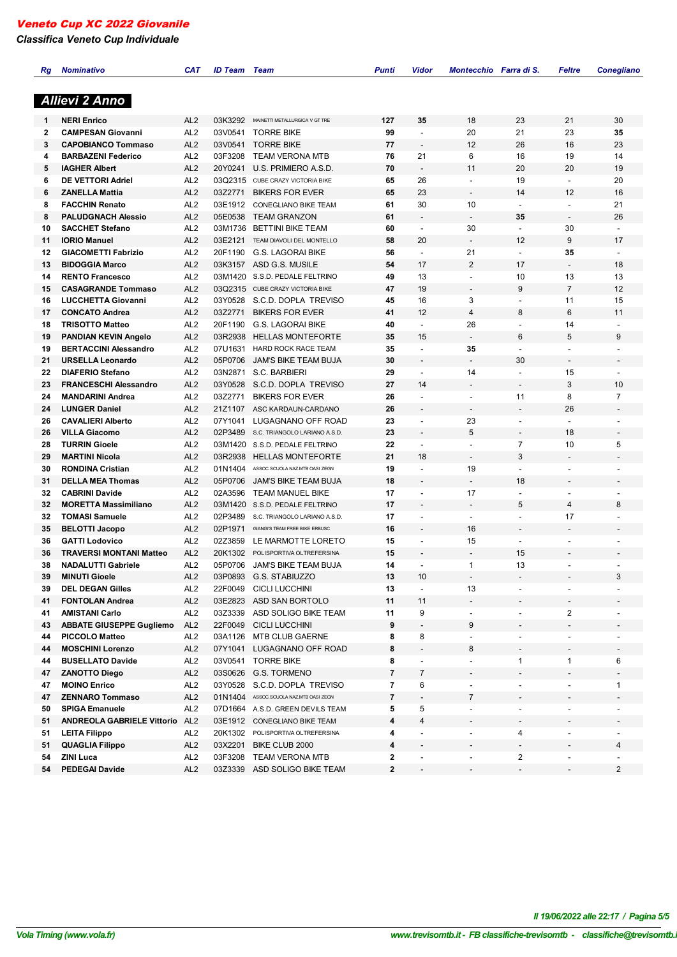*Classifica Veneto Cup Individuale*

| Кg | <b>Nominativo</b>                 | CAT             | <b>ID Team</b> Team |                                        | <b>Punti</b>   | Vidor                    | Montecchio Farra di S.   |                          | Feltre                   | <b>Conegliano</b>        |
|----|-----------------------------------|-----------------|---------------------|----------------------------------------|----------------|--------------------------|--------------------------|--------------------------|--------------------------|--------------------------|
|    |                                   |                 |                     |                                        |                |                          |                          |                          |                          |                          |
|    | <b>Allievi 2 Anno</b>             |                 |                     |                                        |                |                          |                          |                          |                          |                          |
| 1  | <b>NERI Enrico</b>                | AL <sub>2</sub> | 03K3292             | MAINETTI METALLURGICA V GT TRE         | 127            | 35                       | 18                       | 23                       | 21                       | 30                       |
| 2  | <b>CAMPESAN Giovanni</b>          | AL <sub>2</sub> | 03V0541             | <b>TORRE BIKE</b>                      | 99             | $\overline{\phantom{a}}$ | 20                       | 21                       | 23                       | 35                       |
| 3  | <b>CAPOBIANCO Tommaso</b>         | AL <sub>2</sub> | 03V0541             | <b>TORRE BIKE</b>                      | 77             |                          | 12                       | 26                       | 16                       | 23                       |
| 4  | <b>BARBAZENI Federico</b>         | AL <sub>2</sub> | 03F3208             | <b>TEAM VERONA MTB</b>                 | 76             | 21                       | 6                        | 16                       | 19                       | 14                       |
| 5  | <b>IAGHER Albert</b>              | AL <sub>2</sub> | 20Y0241             | U.S. PRIMIERO A.S.D.                   | 70             | $\overline{\phantom{a}}$ | 11                       | 20                       | 20                       | 19                       |
| 6  | <b>DE VETTORI Adriel</b>          | AL <sub>2</sub> |                     | 03Q2315 CUBE CRAZY VICTORIA BIKE       | 65             | 26                       | $\overline{\phantom{a}}$ | 19                       | $\overline{\phantom{a}}$ | 20                       |
| 6  | <b>ZANELLA Mattia</b>             | AL <sub>2</sub> | 03Z2771             | <b>BIKERS FOR EVER</b>                 | 65             | 23                       | $\overline{\phantom{a}}$ | 14                       | 12                       | 16                       |
| 8  | <b>FACCHIN Renato</b>             | AL <sub>2</sub> | 03E1912             | CONEGLIANO BIKE TEAM                   | 61             | 30                       | 10                       | $\ddot{\phantom{a}}$     | $\overline{\phantom{a}}$ | 21                       |
| 8  | <b>PALUDGNACH Alessio</b>         | AL <sub>2</sub> | 05E0538             | <b>TEAM GRANZON</b>                    | 61             |                          | $\blacksquare$           | 35                       | $\overline{\phantom{a}}$ | 26                       |
| 10 | <b>SACCHET Stefano</b>            | AL <sub>2</sub> | 03M1736             | BETTINI BIKE TEAM                      | 60             | $\overline{\phantom{a}}$ | 30                       | $\overline{\phantom{a}}$ | 30                       | $\sim$                   |
| 11 | <b>IORIO Manuel</b>               | AL <sub>2</sub> | 03E2121             | TEAM DIAVOLI DEL MONTELLO              | 58             | 20                       | $\overline{\phantom{a}}$ | 12                       | 9                        | 17                       |
| 12 | <b>GIACOMETTI Fabrizio</b>        | AL <sub>2</sub> | 20F1190             | <b>G.S. LAGORAI BIKE</b>               | 56             | $\overline{\phantom{a}}$ | 21                       | $\blacksquare$           | 35                       | $\blacksquare$           |
| 13 | <b>BIDOGGIA Marco</b>             | AL <sub>2</sub> | 03K3157             | ASD G.S. MUSILE                        | 54             | 17                       | $\overline{2}$           | 17                       | $\overline{\phantom{a}}$ | 18                       |
|    |                                   |                 |                     |                                        |                |                          |                          |                          |                          |                          |
| 14 | <b>RENTO Francesco</b>            | AL <sub>2</sub> | 03M1420             | S.S.D. PEDALE FELTRINO                 | 49             | 13                       | $\overline{\phantom{a}}$ | 10                       | 13                       | 13                       |
| 15 | <b>CASAGRANDE Tommaso</b>         | AL <sub>2</sub> | 03Q2315             | CUBE CRAZY VICTORIA BIKE               | 47             | 19                       | $\overline{\phantom{a}}$ | 9                        | $\overline{7}$           | 12                       |
| 16 | <b>LUCCHETTA Giovanni</b>         | AL <sub>2</sub> | 03Y0528             | S.C.D. DOPLA TREVISO                   | 45             | 16                       | 3                        | $\overline{\phantom{a}}$ | 11                       | 15                       |
| 17 | <b>CONCATO Andrea</b>             | AL <sub>2</sub> | 03Z2771             | <b>BIKERS FOR EVER</b>                 | 41             | 12                       | $\overline{4}$           | 8                        | 6                        | 11                       |
| 18 | <b>TRISOTTO Matteo</b>            | AL <sub>2</sub> | 20F1190             | <b>G.S. LAGORAI BIKE</b>               | 40             | $\blacksquare$           | 26                       | $\overline{\phantom{a}}$ | 14                       | $\overline{\phantom{a}}$ |
| 19 | <b>PANDIAN KEVIN Angelo</b>       | AL <sub>2</sub> | 03R2938             | <b>HELLAS MONTEFORTE</b>               | 35             | 15                       | $\overline{\phantom{a}}$ | 6                        | 5                        | 9                        |
| 19 | <b>BERTACCINI Alessandro</b>      | AL <sub>2</sub> | 07U1631             | <b>HARD ROCK RACE TEAM</b>             | 35             | $\overline{\phantom{a}}$ | 35                       | $\blacksquare$           | $\overline{\phantom{a}}$ | $\overline{a}$           |
| 21 | <b>URSELLA Leonardo</b>           | AL <sub>2</sub> | 05P0706             | JAM'S BIKE TEAM BUJA                   | 30             | $\overline{\phantom{a}}$ | $\overline{\phantom{a}}$ | 30                       | $\overline{\phantom{a}}$ | $\overline{a}$           |
| 22 | <b>DIAFERIO Stefano</b>           | AL <sub>2</sub> | 03N2871             | S.C. BARBIERI                          | 29             | $\overline{\phantom{a}}$ | 14                       | $\overline{\phantom{a}}$ | 15                       | $\overline{\phantom{a}}$ |
| 23 | <b>FRANCESCHI Alessandro</b>      | AL <sub>2</sub> | 03Y0528             | S.C.D. DOPLA TREVISO                   | 27             | 14                       |                          |                          | 3                        | 10                       |
| 24 | <b>MANDARINI Andrea</b>           | AL <sub>2</sub> | 03Z2771             | <b>BIKERS FOR EVER</b>                 | 26             | $\blacksquare$           | $\overline{\phantom{a}}$ | 11                       | 8                        | $\overline{7}$           |
| 24 | <b>LUNGER Daniel</b>              | AL <sub>2</sub> | 21Z1107             | ASC KARDAUN-CARDANO                    | 26             |                          |                          |                          | 26                       |                          |
| 26 | <b>CAVALIERI Alberto</b>          | AL <sub>2</sub> | 07Y1041             | LUGAGNANO OFF ROAD                     | 23             | $\overline{\phantom{a}}$ | 23                       | $\overline{\phantom{a}}$ | $\overline{\phantom{a}}$ |                          |
|    |                                   |                 | 02P3489             | S.C. TRIANGOLO LARIANO A.S.D.          | 23             |                          | 5                        | $\blacksquare$           |                          |                          |
| 26 | <b>VILLA Giacomo</b>              | AL <sub>2</sub> |                     |                                        |                |                          |                          |                          | 18                       | $\overline{\phantom{a}}$ |
| 28 | <b>TURRIN Gioele</b>              | AL <sub>2</sub> | 03M1420             | S.S.D. PEDALE FELTRINO                 | 22             | $\overline{a}$           | $\overline{a}$           | $\overline{7}$           | 10                       | 5                        |
| 29 | <b>MARTINI Nicola</b>             | AL <sub>2</sub> | 03R2938             | <b>HELLAS MONTEFORTE</b>               | 21             | 18                       | $\overline{a}$           | 3                        |                          |                          |
| 30 | <b>RONDINA Cristian</b>           | AL <sub>2</sub> | 01N1404             | ASSOC.SCUOLA NAZ.MTB OASI ZEGN         | 19             | $\overline{\phantom{a}}$ | 19                       | $\overline{\phantom{a}}$ | $\overline{\phantom{a}}$ | $\overline{\phantom{0}}$ |
| 31 | <b>DELLA MEA Thomas</b>           | AL <sub>2</sub> | 05P0706             | JAM'S BIKE TEAM BUJA                   | 18             |                          |                          | 18                       |                          | $\overline{\phantom{0}}$ |
| 32 | <b>CABRINI Davide</b>             | AL <sub>2</sub> | 02A3596             | <b>TEAM MANUEL BIKE</b>                | 17             | L.                       | 17                       | $\overline{\phantom{a}}$ | $\overline{\phantom{a}}$ | $\overline{\phantom{0}}$ |
| 32 | <b>MORETTA Massimiliano</b>       | AL <sub>2</sub> | 03M1420             | S.S.D. PEDALE FELTRINO                 | 17             | $\overline{\phantom{a}}$ | $\overline{\phantom{a}}$ | 5                        | 4                        | 8                        |
| 32 | <b>TOMASI Samuele</b>             | AL <sub>2</sub> | 02P3489             | S.C. TRIANGOLO LARIANO A.S.D.          | 17             | $\overline{a}$           | $\blacksquare$           | $\overline{a}$           | 17                       |                          |
| 35 | <b>BELOTTI Jacopo</b>             | AL <sub>2</sub> | 02P1971             | GIANGI'S TEAM FREE BIKE ERBUSC         | 16             |                          | 16                       |                          | $\overline{\phantom{a}}$ | $\overline{\phantom{0}}$ |
| 36 | <b>GATTI Lodovico</b>             | AL <sub>2</sub> | 02Z3859             | LE MARMOTTE LORETO                     | 15             |                          | 15                       | $\overline{\phantom{a}}$ | $\overline{\phantom{a}}$ |                          |
| 36 | <b>TRAVERSI MONTANI Matteo</b>    | AL <sub>2</sub> | 20K1302             | POLISPORTIVA OLTREFERSINA              | 15             |                          |                          | 15                       |                          |                          |
| 38 | <b>NADALUTTI Gabriele</b>         | AL <sub>2</sub> | 05P0706             | JAM'S BIKE TEAM BUJA                   | 14             |                          | 1                        | 13                       |                          |                          |
| 39 | <b>MINUTI Gioele</b>              | AL <sub>2</sub> |                     | 03P0893 G.S. STABIUZZO                 | 13             | 10                       | -                        |                          |                          | 3                        |
| 39 | <b>DEL DEGAN Gilles</b>           | AL <sub>2</sub> | 22F0049             | <b>CICLI LUCCHINI</b>                  | 13             |                          | 13                       |                          |                          |                          |
|    |                                   |                 |                     | 03E2823 ASD SAN BORTOLO                | 11             | 11                       |                          |                          |                          |                          |
| 41 | <b>FONTOLAN Andrea</b>            | AL <sub>2</sub> |                     |                                        |                |                          |                          |                          |                          |                          |
| 41 | <b>AMISTANI Carlo</b>             | AL <sub>2</sub> | 03Z3339             | ASD SOLIGO BIKE TEAM                   | 11             | 9                        | $\blacksquare$           | ä,                       | $\overline{\mathbf{c}}$  |                          |
| 43 | <b>ABBATE GIUSEPPE Gugliemo</b>   | AL <sub>2</sub> | 22F0049             | <b>CICLI LUCCHINI</b>                  | 9              |                          | 9                        |                          |                          |                          |
| 44 | <b>PICCOLO Matteo</b>             | AL <sub>2</sub> |                     | 03A1126 MTB CLUB GAERNE                | 8              | 8                        | $\overline{\phantom{a}}$ | $\overline{\phantom{a}}$ | $\overline{\phantom{a}}$ |                          |
| 44 | <b>MOSCHINI Lorenzo</b>           | AL <sub>2</sub> | 07Y1041             | LUGAGNANO OFF ROAD                     | 8              |                          | 8                        |                          |                          |                          |
| 44 | <b>BUSELLATO Davide</b>           | AL <sub>2</sub> | 03V0541             | <b>TORRE BIKE</b>                      | 8              |                          |                          | $\mathbf{1}$             | 1                        | 6                        |
| 47 | <b>ZANOTTO Diego</b>              | AL <sub>2</sub> |                     | 03S0626 G.S. TORMENO                   | 7              | 7                        |                          |                          |                          |                          |
| 47 | <b>MOINO Enrico</b>               | AL <sub>2</sub> | 03Y0528             | S.C.D. DOPLA TREVISO                   | 7              | 6                        | $\blacksquare$           | $\blacksquare$           | $\overline{\phantom{a}}$ | 1                        |
| 47 | <b>ZENNARO Tommaso</b>            | AL <sub>2</sub> |                     | 01N1404 ASSOC.SCUOLA NAZ.MTB OASI ZEGN | $\overline{7}$ |                          | 7                        |                          |                          |                          |
| 50 | <b>SPIGA Emanuele</b>             | AL <sub>2</sub> |                     | 07D1664 A.S.D. GREEN DEVILS TEAM       | 5              | 5                        |                          |                          |                          |                          |
| 51 | <b>ANDREOLA GABRIELE Vittorio</b> | AL <sub>2</sub> |                     | 03E1912 CONEGLIANO BIKE TEAM           | 4              | 4                        |                          | $\overline{\phantom{a}}$ |                          |                          |
| 51 | <b>LEITA Filippo</b>              | AL <sub>2</sub> |                     | 20K1302 POLISPORTIVA OLTREFERSINA      | 4              |                          | $\overline{\phantom{a}}$ | 4                        | $\blacksquare$           |                          |
| 51 | <b>QUAGLIA Filippo</b>            | AL <sub>2</sub> |                     | 03X2201 BIKE CLUB 2000                 | 4              |                          |                          | $\overline{\phantom{a}}$ |                          | 4                        |
|    |                                   |                 |                     |                                        |                |                          |                          |                          |                          |                          |
| 54 | <b>ZINI Luca</b>                  | AL <sub>2</sub> | 03F3208             | <b>TEAM VERONA MTB</b>                 | 2              |                          |                          | 2                        |                          |                          |
| 54 | <b>PEDEGAI Davide</b>             | AL <sub>2</sub> |                     | 03Z3339 ASD SOLIGO BIKE TEAM           | 2              | $\overline{\phantom{a}}$ | $\overline{\phantom{a}}$ | $\overline{\phantom{a}}$ | $\overline{\phantom{a}}$ | $\overline{2}$           |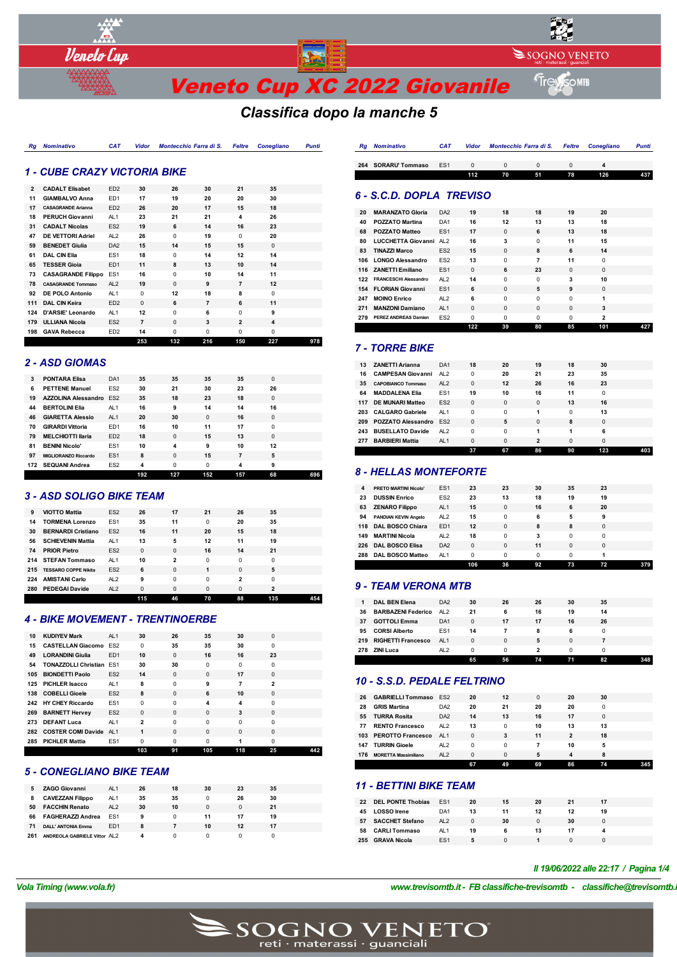

# *Classifica dopo la manche 5*

| <i><b>1 - CUBE CRAZY VICTORIA BIKE</b></i> |  |  |
|--------------------------------------------|--|--|

| 198            | <b>GAVA Rebecca</b>       | ED <sub>2</sub> | 14<br>253      | $\Omega$<br>132 | $\Omega$<br>216 | $\Omega$<br>150 | $\Omega$<br>227 | 978 |
|----------------|---------------------------|-----------------|----------------|-----------------|-----------------|-----------------|-----------------|-----|
| 179            | <b>ULLIANA Nicola</b>     | ES <sub>2</sub> | $\overline{7}$ | $\Omega$        | 3               | $\overline{2}$  | 4               |     |
| 124            | D'ARSIE' Leonardo         | AL <sub>1</sub> | 12             | $\Omega$        | 6               | $\Omega$        | 9               |     |
| 111            | <b>DAL CIN Keira</b>      | ED <sub>2</sub> | $\Omega$       | 6               | $\overline{7}$  | 6               | 11              |     |
| 92             | DE POLO Antonio           | AL <sub>1</sub> | $\Omega$       | 12              | 18              | 8               | $\Omega$        |     |
| 78             | <b>CASAGRANDE Tommaso</b> | AL <sub>2</sub> | 19             | $\Omega$        | 9               | $\overline{7}$  | 12              |     |
| 73             | <b>CASAGRANDE Filippo</b> | ES <sub>1</sub> | 16             | $\Omega$        | 10              | 14              | 11              |     |
| 65             | <b>TESSER Gioia</b>       | ED <sub>1</sub> | 11             | 8               | 13              | 10              | 14              |     |
| 61             | <b>DAL CIN Elia</b>       | ES <sub>1</sub> | 18             | $\Omega$        | 14              | 12              | 14              |     |
| 59             | <b>BENEDET Giulia</b>     | DA <sub>2</sub> | 15             | 14              | 15              | 15              | $\Omega$        |     |
| 47             | DE VETTORI Adriel         | AL2             | 26             | $\Omega$        | 19              | $\Omega$        | 20              |     |
| 31             | <b>CADALT Nicolas</b>     | ES <sub>2</sub> | 19             | 6               | 14              | 16              | 23              |     |
| 18             | <b>PERUCH Giovanni</b>    | AL <sub>1</sub> | 23             | 21              | 21              | 4               | 26              |     |
| 17             | <b>CASAGRANDE Arianna</b> | ED <sub>2</sub> | 26             | 20              | 17              | 15              | 18              |     |
| 11             | <b>GIAMBALVO Anna</b>     | ED <sub>1</sub> | 17             | 19              | 20              | 20              | 30              |     |
| $\overline{2}$ | <b>CADALT Elisabet</b>    | ED <sub>2</sub> | 30             | 26              | 30              | 21              | 35              |     |

*Rg Nominativo CAT Vidor Montecchio Farra di S. Feltre Conegliano Punti*

#### *2 - ASD GIOMAS*

| 3   | <b>PONTARA Elisa</b>       | DA <sub>1</sub> | 35  | 35       | 35       | 35  | $\Omega$ |     |
|-----|----------------------------|-----------------|-----|----------|----------|-----|----------|-----|
| 6   | <b>PETTENE Manuel</b>      | FS <sub>2</sub> | 30  | 21       | 30       | 23  | 26       |     |
| 19  | <b>AZZOLINA Alessandro</b> | ES <sub>2</sub> | 35  | 18       | 23       | 18  | $\Omega$ |     |
| 44  | <b>BERTOLINI Elia</b>      | AL <sub>1</sub> | 16  | 9        | 14       | 14  | 16       |     |
| 46  | <b>GIARETTA Alessio</b>    | AL1             | 20  | 30       | $\Omega$ | 16  | $\Omega$ |     |
| 70  | <b>GIRARDI Vittoria</b>    | ED <sub>1</sub> | 16  | 10       | 11       | 17  | 0        |     |
| 79  | <b>MELCHIOTTI Ilaria</b>   | ED <sub>2</sub> | 18  | $\Omega$ | 15       | 13  | $\Omega$ |     |
| 81  | <b>BENINI Nicolo'</b>      | FS <sub>1</sub> | 10  | 4        | 9        | 10  | 12       |     |
| 97  | MIGLIORANZO Riccardo       | ES <sub>1</sub> | 8   | $\Omega$ | 15       | 7   | 5        |     |
| 172 | <b>SEQUANI Andrea</b>      | ES <sub>2</sub> | 4   | $\Omega$ | 0        | 4   | 9        |     |
|     |                            |                 | 192 | 127      | 152      | 157 | 68       | 696 |

#### *3 - ASD SOLIGO BIKE TEAM*

| 9   | <b>VIOTTO Mattia</b>        | ES <sub>2</sub> | 26          | 17             | 21       | 26          | 35             |     |
|-----|-----------------------------|-----------------|-------------|----------------|----------|-------------|----------------|-----|
| 14  | <b>TORMENA Lorenzo</b>      | FS <sub>1</sub> | 35          | 11             | $\Omega$ | 20          | 35             |     |
| 30  | <b>BERNARDI Cristiano</b>   | ES <sub>2</sub> | 16          | 11             | 20       | 15          | 18             |     |
| 56  | <b>SCHIEVENIN Mattia</b>    | AL <sub>1</sub> | 13          | 5              | 12       | 11          | 19             |     |
| 74  | <b>PRIOR Pietro</b>         | ES <sub>2</sub> | $\mathbf 0$ | 0              | 16       | 14          | 21             |     |
|     | 214 STEFAN Tommaso          | AL <sub>1</sub> | 10          | $\overline{2}$ | $\Omega$ | $\Omega$    | $\Omega$       |     |
| 215 | <b>TESSARO COPPE Nikita</b> | ES <sub>2</sub> | 6           | 0              | 1        | $\Omega$    | 5              |     |
| 224 | <b>AMISTANI Carlo</b>       | AL <sub>2</sub> | 9           | $\Omega$       | $\Omega$ | 2           | $\Omega$       |     |
| 280 | <b>PEDEGAI Davide</b>       | AL <sub>2</sub> | $\Omega$    | 0              | $\Omega$ | $\mathbf 0$ | $\overline{2}$ |     |
|     |                             |                 | 115         | 46             | 70       | 88          | 135            | 454 |

#### *4 - BIKE MOVEMENT - TRENTINOERBE*

| 10  | <b>KUDIYEV Mark</b>             | AL <sub>1</sub> | 30             | 26       | 35       | 30       | $\Omega$       |     |
|-----|---------------------------------|-----------------|----------------|----------|----------|----------|----------------|-----|
| 15  | <b>CASTELLAN Giacomo</b>        | FS <sub>2</sub> | $\Omega$       | 35       | 35       | 30       | $\Omega$       |     |
| 49  | <b>LORANDINI Giulia</b>         | ED <sub>1</sub> | 10             | $\Omega$ | 16       | 16       | 23             |     |
| 54  | <b>TONAZZOLLI Christian ES1</b> |                 | 30             | 30       | $\Omega$ | $\Omega$ | $\Omega$       |     |
| 105 | <b>BIONDETTI Paolo</b>          | FS <sub>2</sub> | 14             | $\Omega$ | $\Omega$ | 17       | $\Omega$       |     |
| 125 | <b>PICHLER Isacco</b>           | AL <sub>1</sub> | 8              | $\Omega$ | 9        | 7        | $\overline{2}$ |     |
|     | 138 COBELLI Gioele              | FS <sub>2</sub> | 8              | $\Omega$ | 6        | 10       | $\Omega$       |     |
|     | 242 HY CHEY Riccardo            | FS <sub>1</sub> | $\Omega$       | $\Omega$ | 4        | 4        | $\Omega$       |     |
|     | 269 BARNETT Hervey              | ES <sub>2</sub> | $\Omega$       | $\Omega$ | $\Omega$ | 3        | $\Omega$       |     |
| 273 | <b>DEFANT Luca</b>              | AL <sub>1</sub> | $\overline{2}$ | $\Omega$ | $\Omega$ | $\Omega$ | $\Omega$       |     |
|     | 282 COSTER COMI Davide AL1      |                 | 1              | $\Omega$ | $\Omega$ | $\Omega$ | $\Omega$       |     |
| 285 | <b>PICHLER Mattia</b>           | ES <sub>1</sub> | $\Omega$       | $\Omega$ | $\Omega$ |          | $\Omega$       |     |
|     |                                 |                 | 103            | 91       | 105      | 118      | 25             | 442 |

#### *5 - CONEGLIANO BIKE TEAM*

|     | <b>ZAGO Giovanni</b>         | AL <sub>1</sub> | 26 | 18 | 30 | 23 | 35 |
|-----|------------------------------|-----------------|----|----|----|----|----|
| 8   | <b>CAVEZZAN Filippo</b>      | AL <sub>1</sub> | 35 | 35 |    | 26 | 30 |
| 50  | <b>FACCHIN Renato</b>        | AI <sub>2</sub> | 30 | 10 |    |    | 21 |
| 66  | <b>FAGHERAZZI Andrea</b>     | ES <sub>1</sub> | 9  |    | 11 |    | 19 |
| 71  | <b>DALL' ANTONIA Emma</b>    | ED <sub>1</sub> | 8  |    | 10 | 12 | 17 |
| 261 | ANDREOLA GABRIELE Vittor AL2 |                 | 4  |    |    |    |    |

| 264 | <b>SORARU' Tommaso</b>       | ES <sub>1</sub> | $\Omega$ | $\Omega$ | $\Omega$ | $\Omega$ | 4        |     |
|-----|------------------------------|-----------------|----------|----------|----------|----------|----------|-----|
|     |                              |                 | 112      | 70       | 51       | 78       | 126      | 437 |
|     |                              |                 |          |          |          |          |          |     |
|     | 6 - S.C.D. DOPLA TREVISO     |                 |          |          |          |          |          |     |
|     |                              |                 |          |          |          |          |          |     |
| 20  | <b>MARANZATO Gloria</b>      | DA <sub>2</sub> | 19       | 18       | 18       | 19       | 20       |     |
| 40  | <b>POZZATO Martina</b>       | DA <sub>1</sub> | 16       | 12       | 13       | 13       | 18       |     |
| 68  | <b>POZZATO Matteo</b>        | ES <sub>1</sub> | 17       | $\Omega$ | 6        | 13       | 18       |     |
| 80  | LUCCHETTA Giovanni AL2       |                 | 16       | 3        | $\Omega$ | 11       | 15       |     |
| 83  | <b>TINAZZI Marco</b>         | ES <sub>2</sub> | 15       | $\Omega$ | 8        | 6        | 14       |     |
| 106 | <b>LONGO Alessandro</b>      | ES <sub>2</sub> | 13       | $\Omega$ | 7        | 11       | $\Omega$ |     |
|     | 116 ZANETTI Emiliano         | ES <sub>1</sub> | $\Omega$ | 6        | 23       | $\Omega$ | $\Omega$ |     |
| 122 | <b>FRANCESCHI Alessandro</b> | AL <sub>2</sub> | 14       | $\Omega$ | $\Omega$ | 3        | 10       |     |
|     | 154 FLORIAN Giovanni         | ES <sub>1</sub> | 6        | $\Omega$ | 5        | 9        | $\Omega$ |     |
| 247 | <b>MOINO Enrico</b>          | AL <sub>2</sub> | 6        | $\Omega$ | 0        | $\Omega$ | 1        |     |

*Rg Nominativo CAT Vidor Montecchio Farra di S. Feltre Conegliano Punti*

#### *7 - TORRE BIKE*

**271 MANZONI Damiano AL1** 0 **PEREZ ANDREAS Damien** ES2 0 0 0 0 **2**

| 13  | <b>ZANETTI Arianna</b>     | DA <sub>1</sub> | 18          | 20       | 19             | 18       | 30       |     |
|-----|----------------------------|-----------------|-------------|----------|----------------|----------|----------|-----|
| 16  | <b>CAMPESAN Giovanni</b>   | AL <sub>2</sub> | $\Omega$    | 20       | 21             | 23       | 35       |     |
| 35  | <b>CAPOBIANCO Tommaso</b>  | AI2             | $\Omega$    | 12       | 26             | 16       | 23       |     |
| 64  | <b>MADDALENA Elia</b>      | ES <sub>1</sub> | 19          | 10       | 16             | 11       | $\Omega$ |     |
| 117 | <b>DE MUNARI Matteo</b>    | FS <sub>2</sub> | $\mathbf 0$ | $\Omega$ | $\Omega$       | 13       | 16       |     |
|     | 203 CALGARO Gabriele       | AL <sub>1</sub> | $\Omega$    | $\Omega$ | 1              | $\Omega$ | 13       |     |
|     | 209 POZZATO Alessandro ES2 |                 | $\Omega$    | 5        | $\Omega$       | 8        | $\Omega$ |     |
| 243 | <b>BUSELLATO Davide</b>    | AL2             | $\Omega$    | $\Omega$ | 1              |          | 6        |     |
| 277 | <b>BARBIERI Mattia</b>     | AL <sub>1</sub> | $\Omega$    | $\Omega$ | $\overline{2}$ | $\Omega$ | $\Omega$ |     |
|     |                            |                 | 37          | 67       | 86             | 90       | 123      | 403 |

**39 80 85 101 427**

#### *8 - HELLAS MONTEFORTE*

|     |                              |                 | 106      | 36       | 92       | 73       | 72       | 379 |
|-----|------------------------------|-----------------|----------|----------|----------|----------|----------|-----|
| 288 | DAL BOSCO Matteo             | AL <sub>1</sub> | 0        | $\Omega$ | $\Omega$ | $\Omega$ | 1        |     |
| 226 | <b>DAL BOSCO Elisa</b>       | DA <sub>2</sub> | $\Omega$ | $\Omega$ | 11       | $\Omega$ | $\Omega$ |     |
| 149 | <b>MARTINI Nicola</b>        | AL2             | 18       | $\Omega$ | 3        | $\Omega$ | $\Omega$ |     |
|     | 118 DAL BOSCO Chiara         | ED <sub>1</sub> | 12       | $\Omega$ | 8        | 8        | $\Omega$ |     |
| 94  | <b>PANDIAN KEVIN Angelo</b>  | AL <sub>2</sub> | 15       | $\Omega$ | 6        | 5        | 9        |     |
| 63  | <b>ZENARO Filippo</b>        | AL <sub>1</sub> | 15       | $\Omega$ | 16       | 6        | 20       |     |
| 23  | <b>DUSSIN Enrico</b>         | FS <sub>2</sub> | 23       | 13       | 18       | 19       | 19       |     |
| 4   | <b>PRETO MARTINI Nicolo'</b> | ES <sub>1</sub> | 23       | 23       | 30       | 35       | 23       |     |
|     |                              |                 |          |          |          |          |          |     |

#### *9 - TEAM VERONA MTB*

|     | <b>DAL BEN Elena</b>      | DA <sub>2</sub> | 30       | 26 | 26 | 30       | 35       |  |
|-----|---------------------------|-----------------|----------|----|----|----------|----------|--|
| 36  | <b>BARBAZENI Federico</b> | AL <sub>2</sub> | 21       | 6  | 16 | 19       | 14       |  |
| 37  | <b>GOTTOLI Emma</b>       | DA <sub>1</sub> | $\Omega$ | 17 | 17 | 16       | 26       |  |
| 95  | <b>CORSI Alberto</b>      | ES <sub>1</sub> | 14       |    | 8  | 6        | 0        |  |
| 219 | <b>RIGHETTI Francesco</b> | AL <sub>1</sub> | $\Omega$ | 0  | 5  | $\Omega$ |          |  |
| 278 | <b>ZINI Luca</b>          | AL <sub>2</sub> | $\Omega$ | 0  | 2  | $\Omega$ | $\Omega$ |  |
|     |                           |                 | 65       | 56 | 74 | 71       | 82       |  |

#### *10 - S.S.D. PEDALE FELTRINO*

| 77<br>147<br>176 | <b>RENTO Francesco</b><br>103 PEROTTO Francesco<br><b>TURRIN Gioele</b><br><b>MORETTA Massimiliano</b> | AL <sub>2</sub><br>AL <sub>1</sub><br>AL <sub>2</sub><br>AI2 | 13<br>$\Omega$<br>$\Omega$<br>0 | $\Omega$<br>3<br>$\Omega$<br>$\Omega$ | 10<br>11<br>5 | 13<br>2<br>10<br>4 | 13<br>18<br>5<br>8 |  |
|------------------|--------------------------------------------------------------------------------------------------------|--------------------------------------------------------------|---------------------------------|---------------------------------------|---------------|--------------------|--------------------|--|
|                  |                                                                                                        |                                                              |                                 |                                       |               |                    |                    |  |
|                  |                                                                                                        |                                                              |                                 |                                       |               |                    |                    |  |
|                  |                                                                                                        |                                                              |                                 |                                       |               |                    |                    |  |
|                  |                                                                                                        |                                                              |                                 |                                       |               |                    |                    |  |
| 55               | <b>TURRA Rosita</b>                                                                                    | DA <sub>2</sub>                                              | 14                              | 13                                    | 16            | 17                 | $\Omega$           |  |
| 28               | <b>GRIS Martina</b>                                                                                    | DA <sub>2</sub>                                              | 20                              | 21                                    | 20            | 20                 | $\Omega$           |  |
| 26               | <b>GABRIELLI Tommaso ES2</b>                                                                           |                                                              | 20                              | 12                                    | $\Omega$      | 20                 | 30                 |  |

#### *11 - BETTINI BIKE TEAM*

| 22  | <b>DEL PONTE Thobias</b> | ES <sub>1</sub> | 20       | 15 | 20 | 21 |    |  |
|-----|--------------------------|-----------------|----------|----|----|----|----|--|
| 45  | <b>LOSSO</b> Irene       | DA <sub>1</sub> | 13       | 11 | 12 | 12 | 19 |  |
| 57  | <b>SACCHET Stefano</b>   | AI2             | $\Omega$ | 30 |    | 30 |    |  |
| 58  | <b>CARLI Tommaso</b>     | AL <sub>1</sub> | 19       | 6  | 13 | 17 |    |  |
| 255 | <b>GRAVA Nicola</b>      | ES <sub>1</sub> | 5        | 0  |    |    | 0  |  |

#### *Il 19/06/2022 alle 22:17 / Pagina 1/4*

*VolaSoftControlPdf*

*Vola Timing (www.vola.fr) www.trevisomtb.it - FB classifiche-trevisomtb - classifiche@trevisomtb.it*

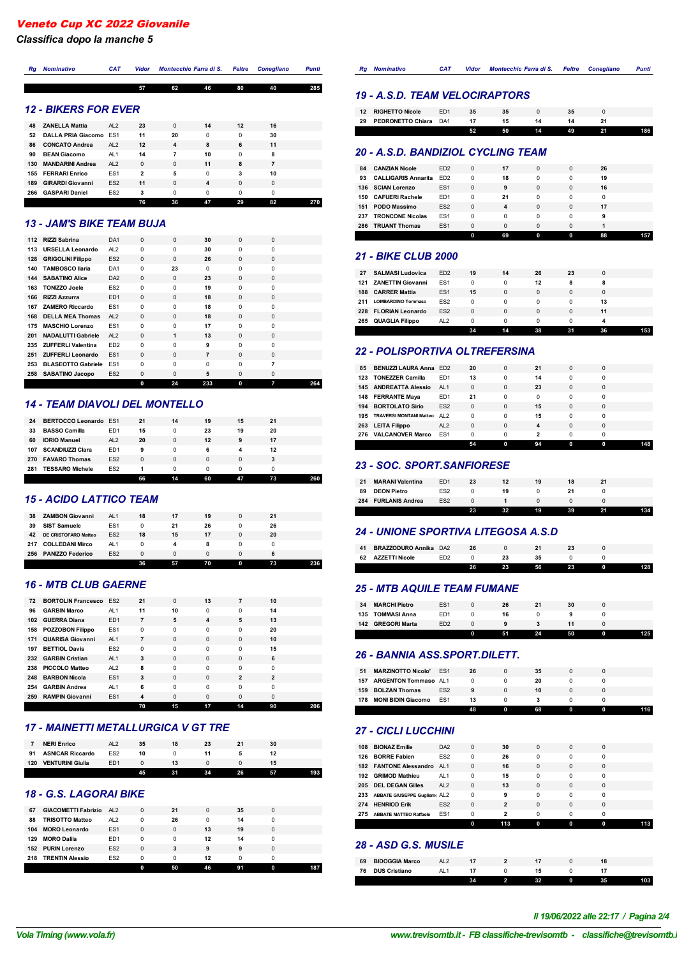*Classifica dopo la manche 5*

| Rq  | <b>Nominativo</b>           | <b>CAT</b>      | <b>Vidor</b>   |          | Montecchio Farra di S. | <b>Feltre</b> | <b>Conegliano</b> | <b>Punti</b> |
|-----|-----------------------------|-----------------|----------------|----------|------------------------|---------------|-------------------|--------------|
|     |                             |                 | 57             | 62       | 46                     | 80            | 40                | 285          |
|     | <b>12 - BIKERS FOR EVER</b> |                 |                |          |                        |               |                   |              |
| 48  | <b>ZANELLA Mattia</b>       | AL <sub>2</sub> | 23             | $\Omega$ | 14                     | 12            | 16                |              |
| 52  | <b>DALLA PRIA Giacomo</b>   | ES <sub>1</sub> | 11             | 20       | $\Omega$               | $\Omega$      | 30                |              |
| 86  | <b>CONCATO Andrea</b>       | AL <sub>2</sub> | 12             | 4        | 8                      | 6             | 11                |              |
| 90  | <b>BEAN Giacomo</b>         | AL <sub>1</sub> | 14             | 7        | 10                     | $\Omega$      | 8                 |              |
| 130 | <b>MANDARINI Andrea</b>     | AI2             | $\Omega$       | $\Omega$ | 11                     | 8             | 7                 |              |
| 155 | <b>FERRARI Enrico</b>       | ES <sub>1</sub> | $\overline{2}$ | 5        | $\Omega$               | 3             | 10                |              |
| 189 | <b>GIRARDI Giovanni</b>     | ES <sub>2</sub> | 11             | $\Omega$ | 4                      | $\Omega$      | $\Omega$          |              |
| 266 | <b>GASPARI Daniel</b>       | ES <sub>2</sub> | 3              | $\Omega$ | $\Omega$               | 0             | $\Omega$          |              |
|     |                             |                 | 76             | 36       | 47                     | 29            | 82                | 270          |

#### *13 - JAM'S BIKE TEAM BUJA*

|     |                           |                 | 0        | 24       | 233 | 0        | 7        | 264 |
|-----|---------------------------|-----------------|----------|----------|-----|----------|----------|-----|
| 258 | <b>SABATINO Jacopo</b>    | ES <sub>2</sub> | $\Omega$ | $\Omega$ | 5   | $\Omega$ | $\Omega$ |     |
| 253 | <b>BLASEOTTO Gabriele</b> | ES <sub>1</sub> | $\Omega$ | $\Omega$ | 0   | 0        | 7        |     |
| 251 | <b>ZUFFERLI Leonardo</b>  | ES <sub>1</sub> | $\Omega$ | $\Omega$ | 7   | $\Omega$ | $\Omega$ |     |
| 235 | <b>ZUFFERLI Valentina</b> | ED <sub>2</sub> | $\Omega$ | $\Omega$ | 9   | 0        | 0        |     |
| 201 | <b>NADALUTTI Gabriele</b> | AL <sub>2</sub> | $\Omega$ | 1        | 13  | $\Omega$ | $\Omega$ |     |
| 175 | <b>MASCHIO Lorenzo</b>    | ES <sub>1</sub> | $\Omega$ | $\Omega$ | 17  | $\Omega$ | $\Omega$ |     |
| 168 | <b>DELLA MEA Thomas</b>   | AI2             | $\Omega$ | $\Omega$ | 18  | $\Omega$ | $\Omega$ |     |
| 167 | <b>ZAMERO Riccardo</b>    | ES <sub>1</sub> | $\Omega$ | $\Omega$ | 18  | 0        | 0        |     |
| 166 | <b>RIZZI Azzurra</b>      | ED <sub>1</sub> | $\Omega$ | $\Omega$ | 18  | $\Omega$ | $\Omega$ |     |
| 163 | <b>TONIZZO Joele</b>      | ES <sub>2</sub> | $\Omega$ | $\Omega$ | 19  | $\Omega$ | $\Omega$ |     |
| 144 | <b>SABATINO Alice</b>     | DA <sub>2</sub> | $\Omega$ | $\Omega$ | 23  | $\Omega$ | $\Omega$ |     |
| 140 | <b>TAMBOSCO Ilaria</b>    | DA <sub>1</sub> | $\Omega$ | 23       | 0   | 0        | 0        |     |
| 128 | <b>GRIGOLINI Filippo</b>  | ES <sub>2</sub> | $\Omega$ | $\Omega$ | 26  | $\Omega$ | $\Omega$ |     |
| 113 | <b>URSELLA Leonardo</b>   | AL <sub>2</sub> | $\Omega$ | $\Omega$ | 30  | 0        | 0        |     |
| 112 | <b>RIZZI Sabrina</b>      | DA <sub>1</sub> | $\Omega$ | $\Omega$ | 30  | $\Omega$ | $\Omega$ |     |

#### *14 - TEAM DIAVOLI DEL MONTELLO*

| <b>BERTOCCO Leonardo ES1</b><br><b>BASSO Camilla</b><br>ED <sub>1</sub><br>23<br>33<br>15<br>19<br>20<br>0<br><b>IORIO Manuel</b><br>AI2<br>20<br>60<br>12<br>17<br>$\Omega$<br>9<br><b>SCANDIUZZI Clara</b><br>ED <sub>1</sub><br>12<br>107<br>0<br>9<br>6<br>ES <sub>2</sub><br><b>FAVARO Thomas</b><br>$\Omega$<br>$\Omega$<br>0<br>270<br>0<br>ES <sub>2</sub><br><b>TESSARO Michele</b><br>281<br>0<br>n<br>n |    |  | 66 | 14 | 60 | 47 | 73 |  |
|--------------------------------------------------------------------------------------------------------------------------------------------------------------------------------------------------------------------------------------------------------------------------------------------------------------------------------------------------------------------------------------------------------------------|----|--|----|----|----|----|----|--|
|                                                                                                                                                                                                                                                                                                                                                                                                                    |    |  |    |    |    |    |    |  |
|                                                                                                                                                                                                                                                                                                                                                                                                                    |    |  |    |    |    |    |    |  |
|                                                                                                                                                                                                                                                                                                                                                                                                                    |    |  |    |    |    |    |    |  |
|                                                                                                                                                                                                                                                                                                                                                                                                                    |    |  |    |    |    |    |    |  |
|                                                                                                                                                                                                                                                                                                                                                                                                                    |    |  |    |    |    |    |    |  |
|                                                                                                                                                                                                                                                                                                                                                                                                                    | 24 |  | 21 | 14 | 19 | 15 | 21 |  |

#### *15 - ACIDO LATTICO TEAM*

| 38  | <b>ZAMBON Giovanni</b>      | AL1             | 18       | 17       | 19 | 0 | 21 |  |
|-----|-----------------------------|-----------------|----------|----------|----|---|----|--|
| 39  | <b>SIST Samuele</b>         | ES <sub>1</sub> | 0        | 21       | 26 | 0 | 26 |  |
| 42  | <b>DE CRISTOFARO Matteo</b> | ES <sub>2</sub> | 18       | 15       | 17 | 0 | 20 |  |
| 217 | <b>COLLEDANI Mirco</b>      | AL <sub>1</sub> | 0        | 4        | 8  |   |    |  |
| 256 | <b>PANIZZO Federico</b>     | ES <sub>2</sub> | $\Omega$ | $\Omega$ | 0  | 0 | 6  |  |
|     |                             |                 | 36       | Бz       | 70 | 0 | 73 |  |

### *16 - MTB CLUB GAERNE*

| 72  | <b>BORTOLIN Francesco FS2</b> |                 | 21       | $\Omega$    | 13       | 7              | 10             |     |
|-----|-------------------------------|-----------------|----------|-------------|----------|----------------|----------------|-----|
| 96  | <b>GARBIN Marco</b>           | AL <sub>1</sub> | 11       | 10          | 0        | $\Omega$       | 14             |     |
| 102 | <b>GUERRA Diana</b>           | ED <sub>1</sub> | 7        | 5           | 4        | 5              | 13             |     |
| 158 | <b>POZZOBON Filippo</b>       | ES <sub>1</sub> | $\Omega$ | $\Omega$    | 0        | $\Omega$       | 20             |     |
| 171 | <b>QUARISA Giovanni</b>       | AL1             | 7        | $\mathbf 0$ | 0        | $\Omega$       | 10             |     |
| 197 | <b>BETTIOL Davis</b>          | FS <sub>2</sub> | $\Omega$ | $\Omega$    | 0        | $\Omega$       | 15             |     |
|     | 232 GARBIN Cristian           | AL <sub>1</sub> | 3        | $\Omega$    | $\Omega$ | $\Omega$       | 6              |     |
| 238 | <b>PICCOLO Matteo</b>         | AI2             | 8        | $\Omega$    | 0        | $\Omega$       | $\Omega$       |     |
| 248 | <b>BARBON Nicola</b>          | ES <sub>1</sub> | 3        | $\Omega$    | $\Omega$ | $\overline{2}$ | $\overline{2}$ |     |
| 254 | <b>GARBIN Andrea</b>          | AL <sub>1</sub> | 6        | $\Omega$    | 0        | $\Omega$       | 0              |     |
| 259 | <b>RAMPIN Giovanni</b>        | ES <sub>1</sub> | 4        | $\Omega$    | $\Omega$ | $\Omega$       | $\Omega$       |     |
|     |                               |                 | 70       | 15          | 17       | 14             | 90             | 206 |

# *17 - MAINETTI METALLURGICA V GT TRE*

|     | <b>NERI Enrico</b>      | AI2             | 35 | 18 | 23 |    | 30 |  |
|-----|-------------------------|-----------------|----|----|----|----|----|--|
| 91  | <b>ASNICAR Riccardo</b> | ES <sub>2</sub> | 10 |    |    |    |    |  |
| 120 | <b>VENTURINI Giulia</b> | ED <sub>1</sub> |    | 13 |    |    |    |  |
|     |                         |                 |    |    | 34 | 26 |    |  |

## *18 - G.S. LAGORAI BIKE*

| <b>TRISOTTO Matteo</b><br>26<br>88<br>AL <sub>2</sub><br>0<br>14<br>0<br>0<br>ES <sub>1</sub><br><b>MORO Leonardo</b><br>13<br>19<br>104<br>$\Omega$<br>$\Omega$<br>0<br><b>MORO Dalila</b><br>ED <sub>1</sub><br>12<br>129<br>0<br>0<br>14<br>0<br>ES <sub>2</sub><br>152 PURIN Lorenzo<br>3<br>$\Omega$<br>9<br>9<br>0<br>ES <sub>2</sub><br><b>TRENTIN Alessio</b><br>12<br>218<br>0<br>0<br>n |  |
|---------------------------------------------------------------------------------------------------------------------------------------------------------------------------------------------------------------------------------------------------------------------------------------------------------------------------------------------------------------------------------------------------|--|
|                                                                                                                                                                                                                                                                                                                                                                                                   |  |
|                                                                                                                                                                                                                                                                                                                                                                                                   |  |
|                                                                                                                                                                                                                                                                                                                                                                                                   |  |
|                                                                                                                                                                                                                                                                                                                                                                                                   |  |
|                                                                                                                                                                                                                                                                                                                                                                                                   |  |
| GIACOMETTI Fabrizio AL2<br>67<br>$\Omega$<br>21<br>0<br>35<br>0                                                                                                                                                                                                                                                                                                                                   |  |

| Ra | Nominativo                            | <b>CAT</b> | Vidor | Montecchio Farra di S. Feltre Conegliano |  | Punti |
|----|---------------------------------------|------------|-------|------------------------------------------|--|-------|
|    |                                       |            |       |                                          |  |       |
|    | <b>19 - A.S.D. TEAM VELOCIRAPTORS</b> |            |       |                                          |  |       |

| 12 | <b>RIGHETTO Nicole</b> | ED <sub>1</sub> | 35 | 35 |    | 35 |    |     |
|----|------------------------|-----------------|----|----|----|----|----|-----|
| 29 | PEDRONETTO Chiara DA1  |                 | 17 | 15 | 14 | 14 | 21 |     |
|    |                        |                 | 52 | 50 | 14 | 49 | 21 | 186 |
|    |                        |                 |    |    |    |    |    |     |

#### *20 - A.S.D. BANDIZIOL CYCLING TEAM* **CANZIAN Nicole** ED2 0 **17** 0 0 **26**

| 84  | <b><i>CANZIAN NICOIE</i></b> | EDZ.            |   |    |          |          | 26 |     |
|-----|------------------------------|-----------------|---|----|----------|----------|----|-----|
| 93  | <b>CALLIGARIS Annarita</b>   | ED <sub>2</sub> | 0 | 18 | $\Omega$ |          | 19 |     |
|     | 136 SCIAN Lorenzo            | ES <sub>1</sub> | 0 | 9  | $\Omega$ | $\Omega$ | 16 |     |
| 150 | <b>CAFUERI Rachele</b>       | ED <sub>1</sub> | 0 | 21 | $\Omega$ |          |    |     |
| 151 | <b>PODO Massimo</b>          | ES <sub>2</sub> | 0 | 4  | $\Omega$ |          | 17 |     |
| 237 | <b>TRONCONE Nicolas</b>      | ES <sub>1</sub> | 0 | 0  | $\Omega$ |          | 9  |     |
| 286 | <b>TRUANT Thomas</b>         | ES <sub>1</sub> | 0 | 0  | 0        |          |    |     |
|     |                              |                 |   | 69 | 0        | 0        | 88 | 157 |

#### *21 - BIKE CLUB 2000*

| 27  | <b>SALMASI Ludovica</b>   | ED <sub>2</sub> | 19       | 14 | 26 | 23 |    |     |
|-----|---------------------------|-----------------|----------|----|----|----|----|-----|
| 121 | <b>ZANETTIN Giovanni</b>  | ES <sub>1</sub> | 0        | 0  | 12 | 8  | 8  |     |
| 188 | <b>CARRER Mattia</b>      | ES <sub>1</sub> | 15       | 0  | 0  | 0  |    |     |
| 211 | <b>LOMBARDINO Tommaso</b> | FS <sub>2</sub> | 0        | 0  | 0  | 0  | 13 |     |
|     | 228 FLORIAN Leonardo      | FS <sub>2</sub> | $\Omega$ | 0  | 0  | 0  | 11 |     |
|     | 265 QUAGLIA Filippo       | AL <sub>2</sub> | 0        | 0  | n  | n  |    |     |
|     |                           |                 |          | 14 | 38 |    | 36 | 153 |

#### *22 - POLISPORTIVA OLTREFERSINA*

| 276 | <b>VALCANOVER Marco</b>             | FS <sub>1</sub> | $\Omega$ | 0        | 2        | O        | 0        |  |
|-----|-------------------------------------|-----------------|----------|----------|----------|----------|----------|--|
|     | 263 LEITA Filippo                   | AI2             | $\Omega$ | $\Omega$ | 4        | $\Omega$ | 0        |  |
| 195 | <b>TRAVERSI MONTANI Matteo AL 2</b> |                 | $\Omega$ | 0        | 15       | $\Omega$ | 0        |  |
| 194 | <b>BORTOLATO Sirio</b>              | FS <sub>2</sub> | $\Omega$ | $\Omega$ | 15       | $\Omega$ | $\Omega$ |  |
|     | 148 FERRANTE Maya                   | ED <sub>1</sub> | 21       | 0        | $\Omega$ | $\Omega$ | 0        |  |
|     | 145 ANDREATTA Alessio               | AL1             | $\Omega$ | $\Omega$ | 23       | $\Omega$ | $\Omega$ |  |
| 123 | <b>TONEZZER Camilla</b>             | ED <sub>1</sub> | 13       | 0        | 14       | $\Omega$ | 0        |  |
| 85  | <b>BENUZZI LAURA Anna ED2</b>       |                 | 20       | $\Omega$ | 21       | $\Omega$ | $\Omega$ |  |

#### *23 - SOC. SPORT.SANFIORESE*

|     |                         |                 | 23 | 32 | 19 | 39 | 21 |  |
|-----|-------------------------|-----------------|----|----|----|----|----|--|
| 284 | <b>FURLANIS Andrea</b>  | ES <sub>2</sub> |    |    |    |    |    |  |
| 89  | <b>DEON Pietro</b>      | ES <sub>2</sub> |    | 19 |    |    |    |  |
| 21  | <b>MARANI Valentina</b> | ED <sub>1</sub> | 23 | 12 | 19 | 18 |    |  |
|     |                         |                 |    |    |    |    |    |  |

#### *24 - UNIONE SPORTIVA LITEGOSA A.S.D*

|    | 62 AZZETTI Nicole     | 26 | 23 | 56 | 23 |  |
|----|-----------------------|----|----|----|----|--|
|    |                       |    |    |    |    |  |
| 41 | BRAZZODURO Annika DA2 |    |    |    |    |  |
|    |                       |    |    |    |    |  |

#### *25 - MTB AQUILE TEAM FUMANE*

|     |                      |                 |    | 24 | 50 | 125. |
|-----|----------------------|-----------------|----|----|----|------|
| 142 | <b>GREGORI Marta</b> | ED <sub>2</sub> |    |    |    |      |
| 135 | <b>TOMMASI Anna</b>  | ED <sub>1</sub> | 16 |    |    |      |
| 34  | <b>MARCHI Pietro</b> | ES <sub>1</sub> | 26 | 21 | 30 |      |
|     |                      |                 |    |    |    |      |

#### *26 - BANNIA ASS.SPORT.DILETT.*

|     |                           |                 | 48 | 68 |  |  |
|-----|---------------------------|-----------------|----|----|--|--|
| 178 | <b>MONI BIDIN Giacomo</b> | ES <sub>1</sub> | 13 |    |  |  |
| 159 | <b>BOLZAN Thomas</b>      | ES <sub>2</sub> | 9  | 10 |  |  |
|     | 157 ARGENTON Tommaso AL1  |                 |    | 20 |  |  |
| 51  | <b>MARZINOTTO Nicolo'</b> | ES <sub>1</sub> | 26 | 35 |  |  |
|     |                           |                 |    |    |  |  |

#### *27 - CICLI LUCCHINI*

|     | 108 BIONAZ Emilie               | DA <sub>2</sub> | $\Omega$ | 30  | $\Omega$ | $\Omega$ | $\Omega$ |  |
|-----|---------------------------------|-----------------|----------|-----|----------|----------|----------|--|
| 126 | <b>BORRE Fabien</b>             | FS <sub>2</sub> | 0        | 26  | 0        | 0        | 0        |  |
|     | 182 FANTONE Alessandro AL1      |                 | $\Omega$ | 16  | $\Omega$ | $\Omega$ | $\Omega$ |  |
|     | 192 GRIMOD Mathieu              | AL <sub>1</sub> | 0        | 15  | 0        | 0        | 0        |  |
|     | 205 DEL DEGAN Gilles            | AI2             | $\Omega$ | 13  | $\Omega$ | $\Omega$ | $\Omega$ |  |
|     | 233 ABBATE GIUSEPPE Gugliem AL2 |                 | 0        | 9   | 0        | $\Omega$ | $\Omega$ |  |
| 274 | <b>HENRIOD Erik</b>             | FS <sub>2</sub> | $\Omega$ | 2   | $\Omega$ | $\Omega$ | $\Omega$ |  |
| 275 | <b>ABBATE MATTEO Raffaele</b>   | ES <sub>1</sub> | 0        | 2   | 0        | 0        | 0        |  |
|     |                                 |                 | 0        | 113 | 0        | 0        | 0        |  |

#### *28 - ASD G.S. MUSILE*

|    |                       |  | 32 | n | 35 | 103 |
|----|-----------------------|--|----|---|----|-----|
| 76 | <b>DUS Cristiano</b>  |  |    |   |    |     |
| 69 | <b>BIDOGGIA Marco</b> |  |    |   |    |     |
|    |                       |  |    |   |    |     |

# *VolaSoftControlPdf Il 19/06/2022 alle 22:17 / Pagina 2/4*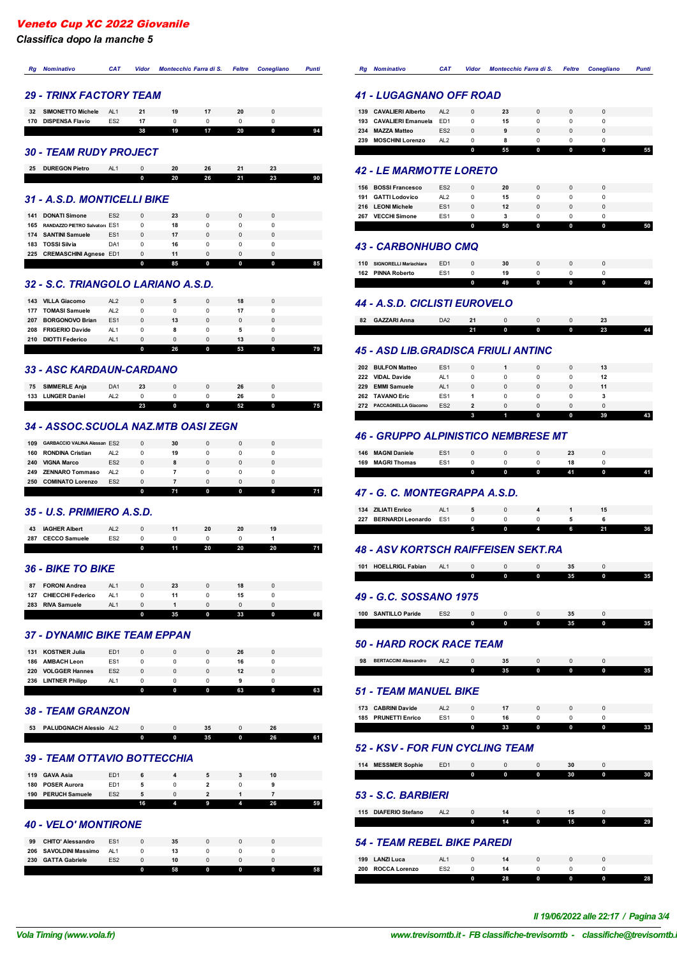*Classifica dopo la manche 5*

# *Rg Nominativo CAT Vidor Montecchio Farra di S. Feltre Conegliano Punti*

## *29 - TRINX FACTORY TEAM*

| <b>DISPENSA Flavio</b><br>FS <sub>2</sub><br>170<br>17<br>19<br>38<br>20<br>0 | 32 | <b>SIMONETTO Michele</b> | AL <sub>1</sub> | 21 | 19 | 20 |  |
|-------------------------------------------------------------------------------|----|--------------------------|-----------------|----|----|----|--|
|                                                                               |    |                          |                 |    |    |    |  |
|                                                                               |    |                          |                 |    |    |    |  |

#### *30 - TEAM RUDY PROJECT*

| 25 | <b>DUREGON Pietro</b> | AL. |   |    | 26 |    |    |    |
|----|-----------------------|-----|---|----|----|----|----|----|
|    |                       |     | n | 20 | 26 | 21 | 23 | 90 |

# *31 - A.S.D. MONTICELLI BIKE*

|     | 225 CREMASCHINI Agnese ED1                 |                                    | $\Omega$      | 11       |   |  |  |
|-----|--------------------------------------------|------------------------------------|---------------|----------|---|--|--|
| 183 | 174 SANTINI Samuele<br><b>TOSSI Silvia</b> | ES <sub>1</sub><br>DA <sub>1</sub> | $\Omega$<br>0 | 17<br>16 |   |  |  |
| 165 | RANDAZZO PIETRO Salvator(FS1               |                                    | 0             | 18       |   |  |  |
| 141 | <b>DONATI Simone</b>                       | ES <sub>2</sub>                    | $\Omega$      | 23       | 0 |  |  |

#### *32 - S.C. TRIANGOLO LARIANO A.S.D.*

| <b>VILLA Giacomo</b><br>143   | AI2             | $\Omega$ | 5  | $\Omega$ | 18 | 0 |    |
|-------------------------------|-----------------|----------|----|----------|----|---|----|
| <b>TOMASI Samuele</b><br>177  | AL <sub>2</sub> | 0        | 0  | $\Omega$ | 17 |   |    |
| <b>BORGONOVO Brian</b><br>207 | ES <sub>1</sub> | $\Omega$ | 13 | $\Omega$ | 0  |   |    |
| <b>FRIGERIO Davide</b><br>208 | AL <sub>1</sub> | 0        | 8  | 0        | 5  |   |    |
| <b>DIOTTI Federico</b><br>210 | AL <sub>1</sub> | $\Omega$ | 0  | $\Omega$ | 13 | 0 |    |
|                               |                 | n        | 26 | $\bf{0}$ | 53 | 0 | 79 |

## *33 - ASC KARDAUN-CARDANO*

| <b>SIMMERLE Anja</b><br>75  | DA <sub>1</sub> | 23 |   |   | 26 |  |
|-----------------------------|-----------------|----|---|---|----|--|
| <b>LUNGER Daniel</b><br>133 |                 |    |   |   | 26 |  |
|                             |                 | 23 | n | 0 | 60 |  |

## *34 - ASSOC.SCUOLA NAZ.MTB OASI ZEGN*

| 30<br><b>GARBACCIO VALINA Alessan ES2</b><br>109<br>$\Omega$<br>0<br><b>RONDINA Cristian</b><br>19<br>AL <sub>2</sub><br>160<br>0<br>ES <sub>2</sub><br><b>VIGNA Marco</b><br>240<br>$\Omega$<br>8<br>0<br><b>ZENNARO Tommaso</b><br>AL <sub>2</sub><br>249<br><b>COMINATO Lorenzo</b><br>ES <sub>2</sub><br>250<br>n<br>n |  |  | 74 | Λ | 74 |
|----------------------------------------------------------------------------------------------------------------------------------------------------------------------------------------------------------------------------------------------------------------------------------------------------------------------------|--|--|----|---|----|
|                                                                                                                                                                                                                                                                                                                            |  |  |    |   |    |
|                                                                                                                                                                                                                                                                                                                            |  |  |    |   |    |
|                                                                                                                                                                                                                                                                                                                            |  |  |    |   |    |
|                                                                                                                                                                                                                                                                                                                            |  |  |    |   |    |
|                                                                                                                                                                                                                                                                                                                            |  |  |    |   |    |

# *35 - U.S. PRIMIERO A.S.D.*

| <b>CECCO Samuele</b><br>287 | ES <sub>2</sub> |    |    |    |    |  |
|-----------------------------|-----------------|----|----|----|----|--|
|                             |                 | 11 | 20 | 20 | 20 |  |

# *36 - BIKE TO BIKE*

|     |                          |                 | 35 | 0 | 33 |  |
|-----|--------------------------|-----------------|----|---|----|--|
| 283 | <b>RIVA Samuele</b>      | AL <sub>1</sub> |    |   |    |  |
| 127 | <b>CHIECCHI Federico</b> | AL <sub>1</sub> |    |   | 15 |  |
| 87  | <b>FORONI Andrea</b>     | AL1             | 23 |   |    |  |
|     |                          |                 |    |   |    |  |

## *37 - DYNAMIC BIKE TEAM EPPAN*

|     |                        |                 |          |          | 63 | 0 | 63 |
|-----|------------------------|-----------------|----------|----------|----|---|----|
| 236 | <b>LINTNER Philipp</b> | AL <sub>1</sub> |          |          |    |   |    |
| 220 | <b>VOLGGER Hannes</b>  | ES <sub>2</sub> | $\Omega$ |          | 12 |   |    |
| 186 | <b>AMBACH Leon</b>     | ES <sub>1</sub> | Ω        |          | 16 |   |    |
| 131 | <b>KOSTNER Julia</b>   | ED <sub>1</sub> | $\Omega$ | $\Omega$ | 26 |   |    |
|     |                        |                 |          |          |    |   |    |

## *38 - TEAM GRANZON*

| <b>PALUDGNACH Alessio AL2</b><br>53 |          | 35 |              | 26 |  |
|-------------------------------------|----------|----|--------------|----|--|
|                                     | $\Omega$ | 35 | $\mathbf{0}$ | 26 |  |

# *39 - TEAM OTTAVIO BOTTECCHIA*

| <b>POSER Aurora</b><br>180<br>ED <sub>1</sub>    |  |
|--------------------------------------------------|--|
|                                                  |  |
| <b>GAVA Asia</b><br>119<br>ED <sub>1</sub><br>10 |  |

# *40 - VELO' MONTIRONE*

| 206 SAVOLDINI Massimo    |                       |                        | 13 |    |  |  |
|--------------------------|-----------------------|------------------------|----|----|--|--|
| <b>CHITO' Alessandro</b> | ES <sub>1</sub>       | $\Omega$               | 35 |    |  |  |
|                          | <b>GATTA Gabriele</b> | AL1<br>ES <sub>2</sub> |    | 10 |  |  |

| Ra  | <b>Nominativo</b>         | <b>CAT</b>      | Vidor    | Montecchio Farra di S. Feltre |          |          | <b>Conegliano</b> | Punti |
|-----|---------------------------|-----------------|----------|-------------------------------|----------|----------|-------------------|-------|
|     |                           |                 |          |                               |          |          |                   |       |
|     | 41 - LUGAGNANO OFF ROAD   |                 |          |                               |          |          |                   |       |
|     | 139 CAVALIERI Alberto     | AL <sub>2</sub> | $\Omega$ | 23                            | $\Omega$ | $\Omega$ | $\Omega$          |       |
| 193 | <b>CAVALIERI Emanuela</b> | F <sub>D1</sub> | $\Omega$ | 15                            | 0        | $\Omega$ | 0                 |       |
| 234 | <b>MAZZA Matteo</b>       | FS <sub>2</sub> | $\Omega$ | 9                             | 0        |          |                   |       |

**55 0 0 0 55**

# *42 - LE MARMOTTE LORETO*

 $MOSCHINI$  Lorenzo

| 156 BOSSI Francesco          | ES <sub>2</sub> | $\Omega$ | 20 | $\Omega$ | $\Omega$ |   |  |
|------------------------------|-----------------|----------|----|----------|----------|---|--|
| <b>GATTI Lodovico</b><br>191 | AL <sub>2</sub> | 0        | 15 | 0        |          |   |  |
| <b>LEONI Michele</b><br>216  | ES <sub>1</sub> | $\Omega$ | 12 | $\Omega$ | n        |   |  |
| <b>VECCHI Simone</b><br>267  | ES <sub>1</sub> | 0        | 3  | 0        | n        |   |  |
|                              |                 | n        | 50 | U        | U        | n |  |

## *43 - CARBONHUBO CMQ*

| 110<br>162 | SIGNORELLI Mariachiara ED1<br><b>PINNA Roberto</b> | ES <sub>1</sub> | 30 |  |   |  |
|------------|----------------------------------------------------|-----------------|----|--|---|--|
|            |                                                    |                 | 49 |  | n |  |

# *44 - A.S.D. CICLISTI EUROVELO*

| 82 | <b>GAZZARI Anna</b> | DA <sub>2</sub> |      |   |   |   | - - |         |
|----|---------------------|-----------------|------|---|---|---|-----|---------|
|    |                     |                 | - 54 | 0 | 0 | 0 | 23  | AА<br>. |

#### *45 - ASD LIB.GRADISCA FRIULI ANTINC*

| 202 | <b>BULFON Matteo</b>       | ES <sub>1</sub> | $\Omega$ |          | $\Omega$ | $\Omega$ | 13 |  |
|-----|----------------------------|-----------------|----------|----------|----------|----------|----|--|
| 222 | <b>VIDAL Davide</b>        | AL <sub>1</sub> | 0        | 0        |          |          | 12 |  |
| 229 | <b>EMMI Samuele</b>        | AL1             | $\Omega$ | $\Omega$ | $\Omega$ |          | 11 |  |
| 262 | <b>TAVANO Eric</b>         | ES <sub>1</sub> |          | 0        |          |          |    |  |
| 272 | <b>PACCAGNELLA Giacomo</b> | ES <sub>2</sub> | 2        | $\Omega$ |          |          |    |  |
|     |                            |                 |          |          |          | 0        | 39 |  |

# *46 - GRUPPO ALPINISTICO NEMBRESE MT*

| <b>MAGRI Thomas</b><br>169         |  |
|------------------------------------|--|
|                                    |  |
| <b>MAGNI Daniele</b><br>ES'<br>146 |  |

# *47 - G. C. MONTEGRAPPA A.S.D.*

|     | 134 ZILIATI Enrico           |  |  |   |  |
|-----|------------------------------|--|--|---|--|
| 227 | <b>BERNARDI Leonardo ES1</b> |  |  |   |  |
|     |                              |  |  | 6 |  |

# *48 - ASV KORTSCH RAIFFEISEN SEKT.RA*

| 101 | <b>HOELLRIGL Fabian</b> | AL1             | $\Omega$ | $\Omega$ | $\Omega$ | 35 | $\Omega$ |  |
|-----|-------------------------|-----------------|----------|----------|----------|----|----------|--|
|     |                         |                 | n        | 0        | 0        | 35 | 0        |  |
|     |                         |                 |          |          |          |    |          |  |
|     | 49 - G.C. SOSSANO 1975  |                 |          |          |          |    |          |  |
| 100 | <b>SANTILLO Paride</b>  | FS <sub>2</sub> | $\Omega$ | $\Omega$ | 0        | 35 |          |  |

# *50 - HARD ROCK RACE TEAM*

| 98 | <b>BERTACCINI Alessandro</b> | AL2 |    |   |   |   |  |
|----|------------------------------|-----|----|---|---|---|--|
|    |                              |     | 35 | 0 | 0 | 0 |  |
|    |                              |     |    |   |   |   |  |

## *51 - TEAM MANUEL BIKE*

| 173 | <b>CABRINI Davide</b> | AL <sub>2</sub> |    |  |  |
|-----|-----------------------|-----------------|----|--|--|
|     | 185 PRUNETTI Enrico   | ES <sub>1</sub> |    |  |  |
|     |                       |                 | 33 |  |  |

# *52 - KSV - FOR FUN CYCLING TEAM*

| 114 MESSMER Sophie        | ED <sub>1</sub> | $\Omega$ | $\Omega$ | $\Omega$ | 30 | $\Omega$ |    |  |  |
|---------------------------|-----------------|----------|----------|----------|----|----------|----|--|--|
|                           |                 | 0        | 0        | 0        | 30 | 0        |    |  |  |
| <b>53 - S.C. BARBIERI</b> |                 |          |          |          |    |          |    |  |  |
| 115 DIAFERIO Stefano      | AL2             | $\Omega$ | 14       | $\Omega$ | 15 | $\Omega$ |    |  |  |
|                           |                 | 0        | 14       | 0        | 15 | 0        | 29 |  |  |
|                           |                 |          |          |          |    |          |    |  |  |

# *54 - TEAM REBEL BIKE PAREDI*

|                             |                 | 28 | 0 |  | 28 |
|-----------------------------|-----------------|----|---|--|----|
| <b>ROCCA Lorenzo</b><br>200 | ES <sub>2</sub> |    |   |  |    |
| <b>LANZI Luca</b><br>199    |                 |    |   |  |    |
|                             |                 |    |   |  |    |